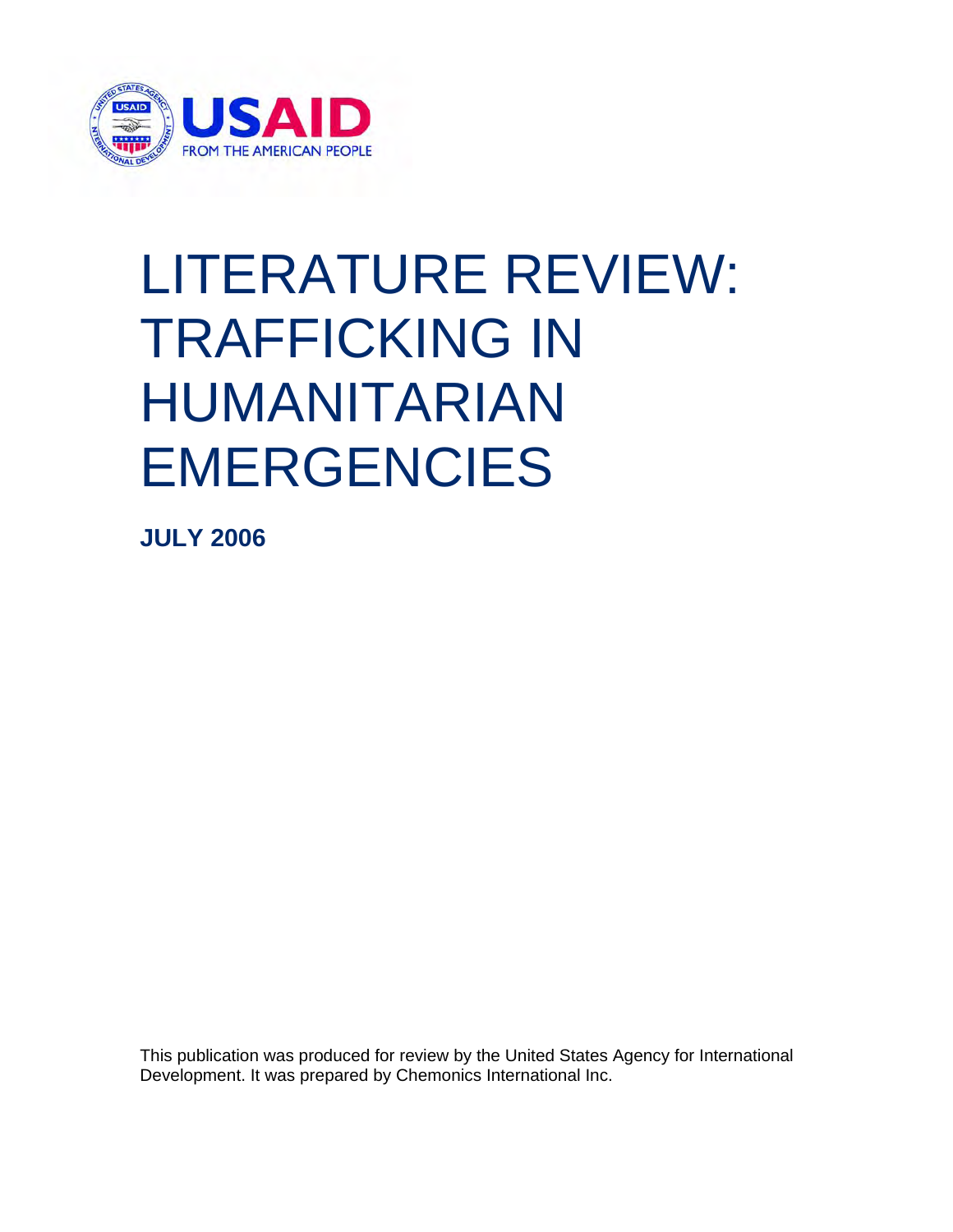

## LITERATURE REVIEW: TRAFFICKING IN HUMANITARIAN EMERGENCIES

**JULY 2006** 

This publication was produced for review by the United States Agency for International Development. It was prepared by Chemonics International Inc.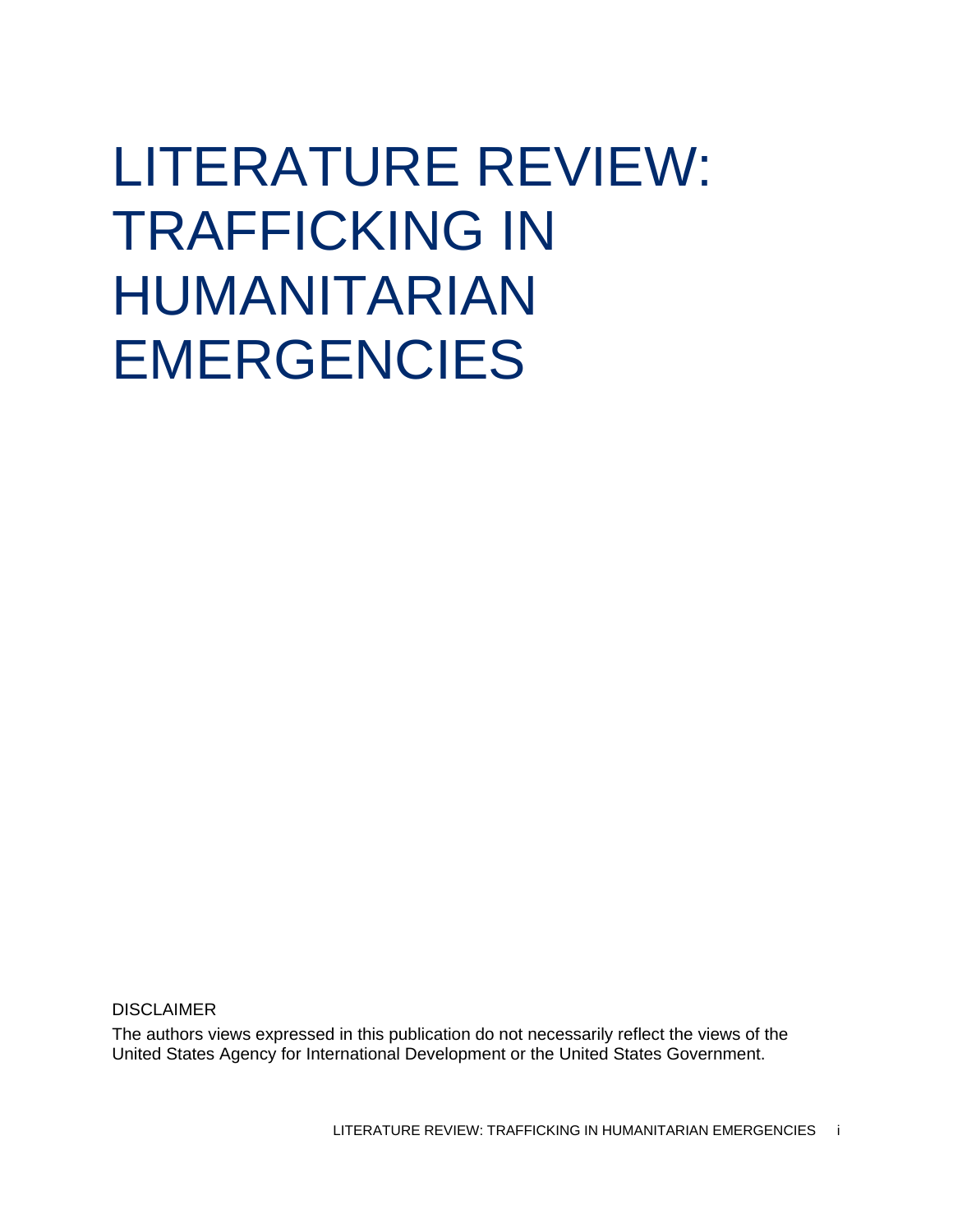## LITERATURE REVIEW: TRAFFICKING IN HUMANITARIAN EMERGENCIES

DISCLAIMER

The authors views expressed in this publication do not necessarily reflect the views of the United States Agency for International Development or the United States Government.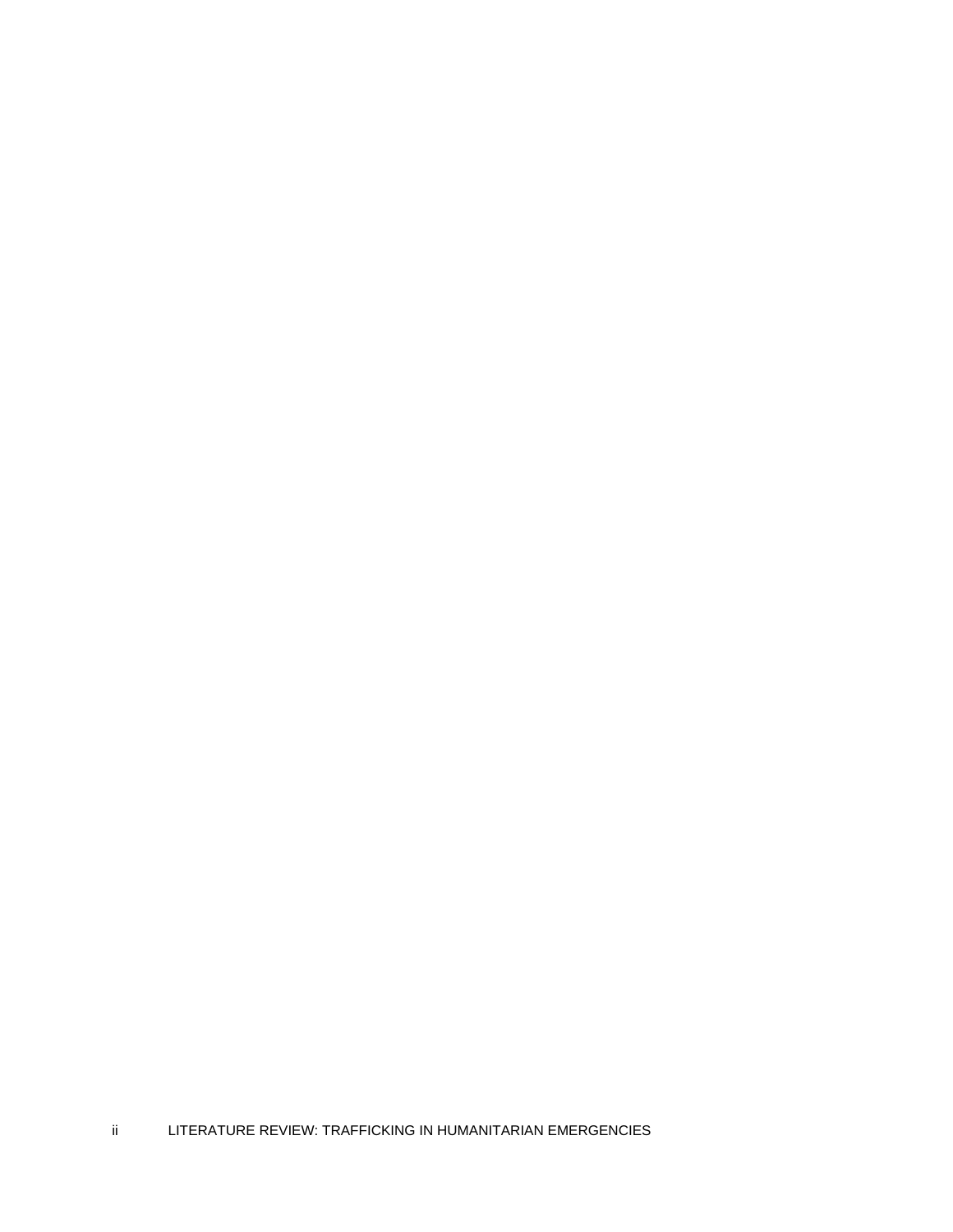#### ii LITERATURE REVIEW: TRAFFICKING IN HUMANITARIAN EMERGENCIES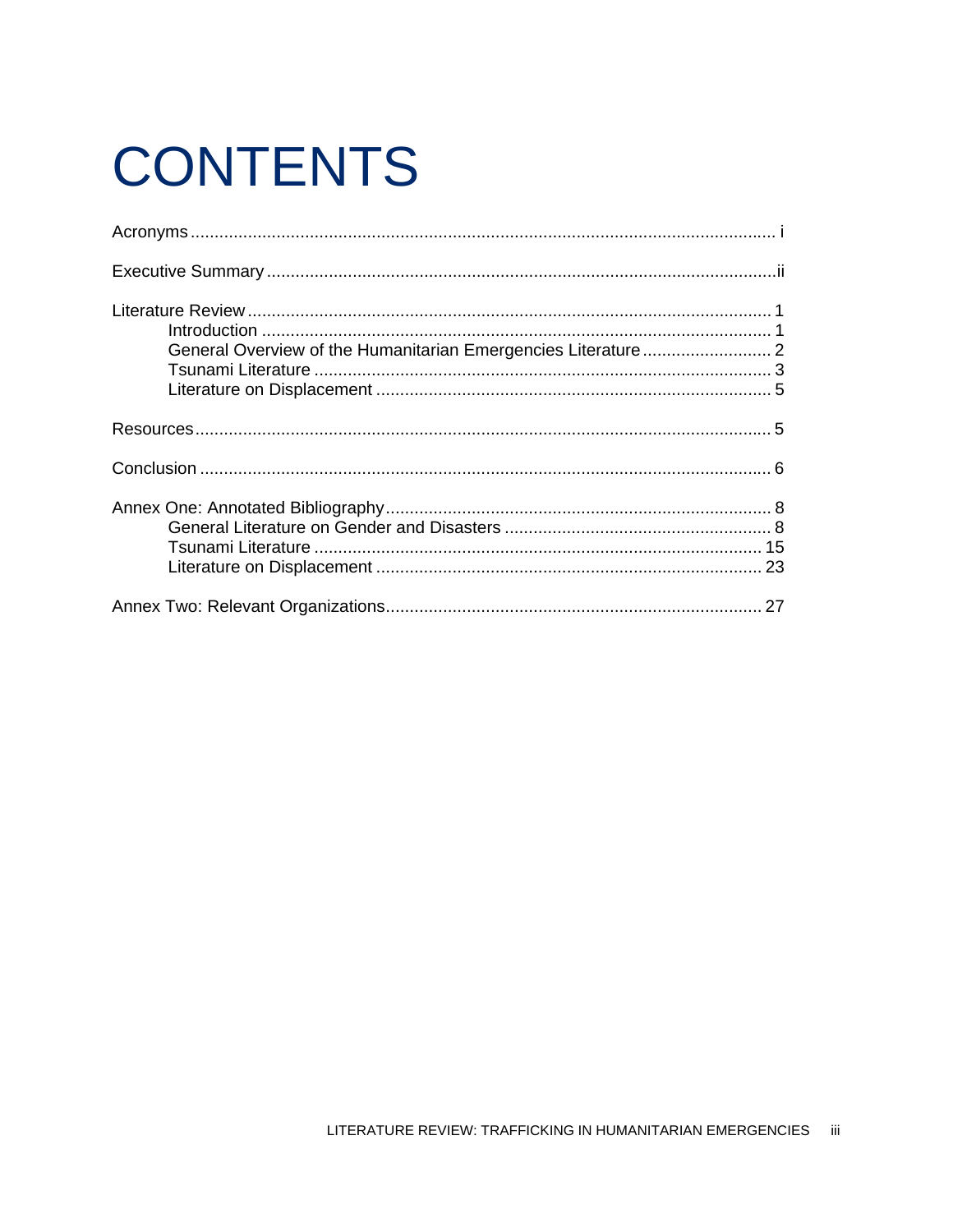# **CONTENTS**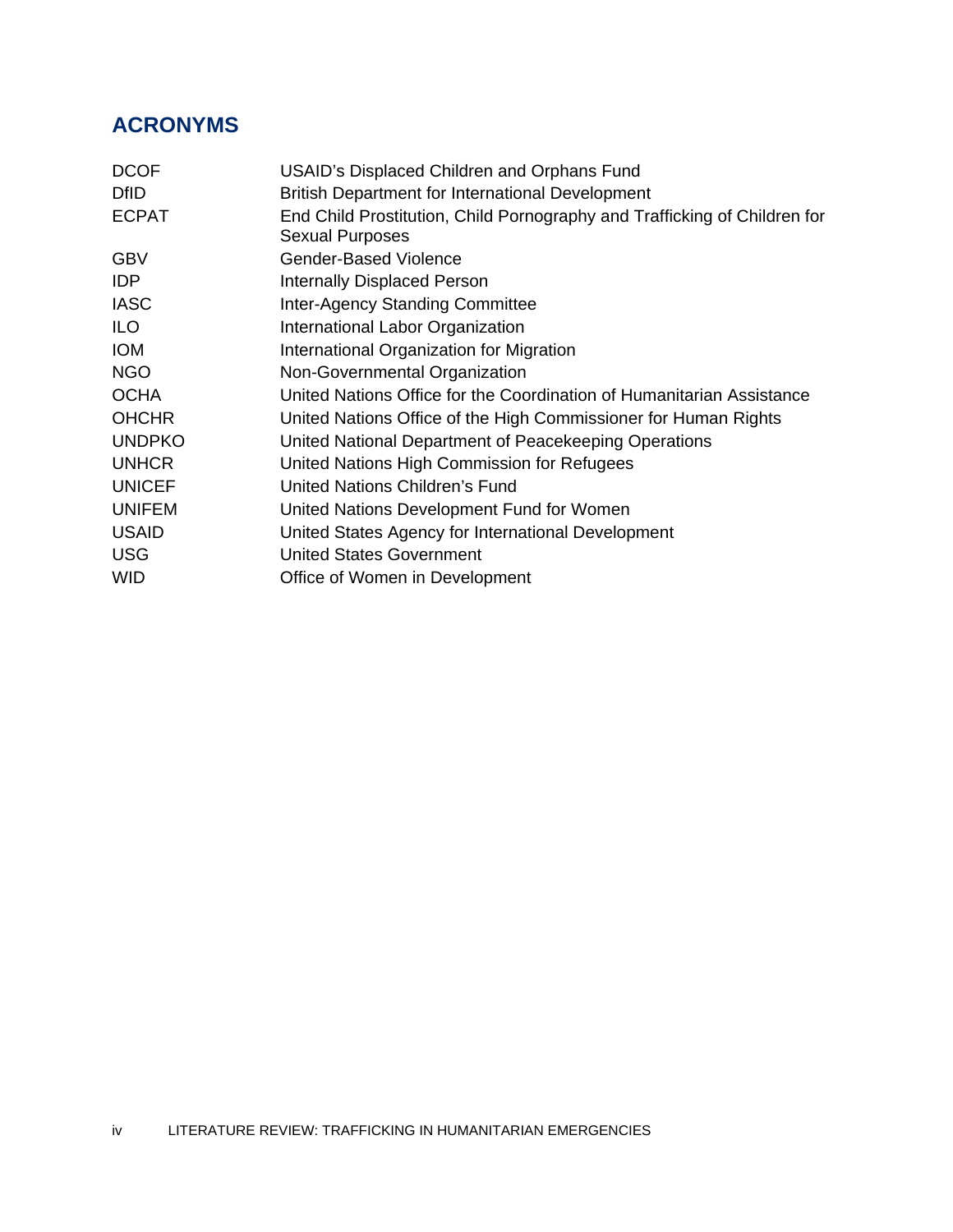## **ACRONYMS**

| USAID's Displaced Children and Orphans Fund                                                         |
|-----------------------------------------------------------------------------------------------------|
| <b>British Department for International Development</b>                                             |
| End Child Prostitution, Child Pornography and Trafficking of Children for<br><b>Sexual Purposes</b> |
| Gender-Based Violence                                                                               |
| <b>Internally Displaced Person</b>                                                                  |
| <b>Inter-Agency Standing Committee</b>                                                              |
| International Labor Organization                                                                    |
| International Organization for Migration                                                            |
| Non-Governmental Organization                                                                       |
| United Nations Office for the Coordination of Humanitarian Assistance                               |
| United Nations Office of the High Commissioner for Human Rights                                     |
| United National Department of Peacekeeping Operations                                               |
| United Nations High Commission for Refugees                                                         |
| United Nations Children's Fund                                                                      |
| United Nations Development Fund for Women                                                           |
| United States Agency for International Development                                                  |
| <b>United States Government</b>                                                                     |
| Office of Women in Development                                                                      |
|                                                                                                     |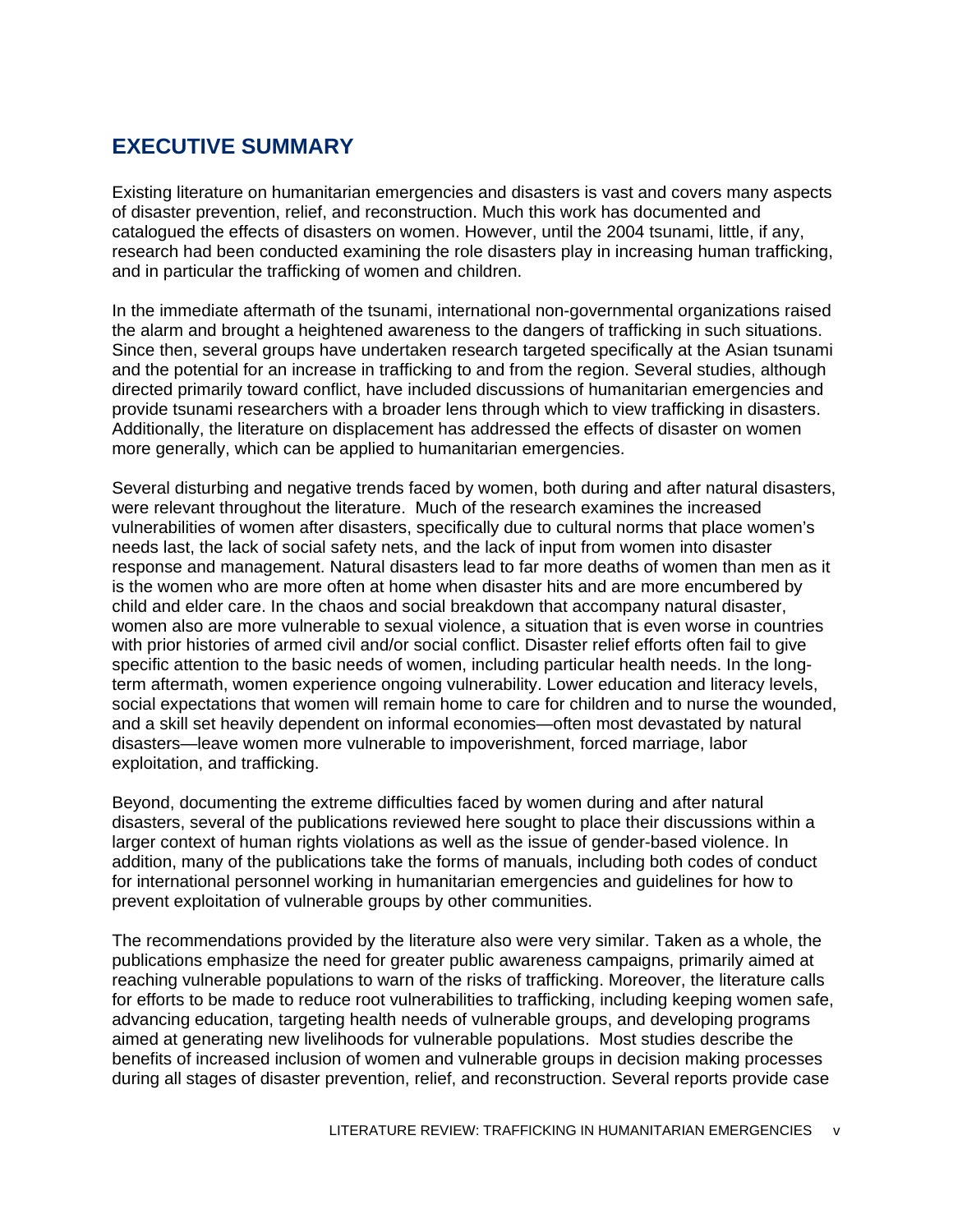### **EXECUTIVE SUMMARY**

Existing literature on humanitarian emergencies and disasters is vast and covers many aspects of disaster prevention, relief, and reconstruction. Much this work has documented and catalogued the effects of disasters on women. However, until the 2004 tsunami, little, if any, research had been conducted examining the role disasters play in increasing human trafficking, and in particular the trafficking of women and children.

In the immediate aftermath of the tsunami, international non-governmental organizations raised the alarm and brought a heightened awareness to the dangers of trafficking in such situations. Since then, several groups have undertaken research targeted specifically at the Asian tsunami and the potential for an increase in trafficking to and from the region. Several studies, although directed primarily toward conflict, have included discussions of humanitarian emergencies and provide tsunami researchers with a broader lens through which to view trafficking in disasters. Additionally, the literature on displacement has addressed the effects of disaster on women more generally, which can be applied to humanitarian emergencies.

Several disturbing and negative trends faced by women, both during and after natural disasters, were relevant throughout the literature. Much of the research examines the increased vulnerabilities of women after disasters, specifically due to cultural norms that place women's needs last, the lack of social safety nets, and the lack of input from women into disaster response and management. Natural disasters lead to far more deaths of women than men as it is the women who are more often at home when disaster hits and are more encumbered by child and elder care. In the chaos and social breakdown that accompany natural disaster, women also are more vulnerable to sexual violence, a situation that is even worse in countries with prior histories of armed civil and/or social conflict. Disaster relief efforts often fail to give specific attention to the basic needs of women, including particular health needs. In the longterm aftermath, women experience ongoing vulnerability. Lower education and literacy levels, social expectations that women will remain home to care for children and to nurse the wounded, and a skill set heavily dependent on informal economies—often most devastated by natural disasters—leave women more vulnerable to impoverishment, forced marriage, labor exploitation, and trafficking.

Beyond, documenting the extreme difficulties faced by women during and after natural disasters, several of the publications reviewed here sought to place their discussions within a larger context of human rights violations as well as the issue of gender-based violence. In addition, many of the publications take the forms of manuals, including both codes of conduct for international personnel working in humanitarian emergencies and guidelines for how to prevent exploitation of vulnerable groups by other communities.

The recommendations provided by the literature also were very similar. Taken as a whole, the publications emphasize the need for greater public awareness campaigns, primarily aimed at reaching vulnerable populations to warn of the risks of trafficking. Moreover, the literature calls for efforts to be made to reduce root vulnerabilities to trafficking, including keeping women safe, advancing education, targeting health needs of vulnerable groups, and developing programs aimed at generating new livelihoods for vulnerable populations. Most studies describe the benefits of increased inclusion of women and vulnerable groups in decision making processes during all stages of disaster prevention, relief, and reconstruction. Several reports provide case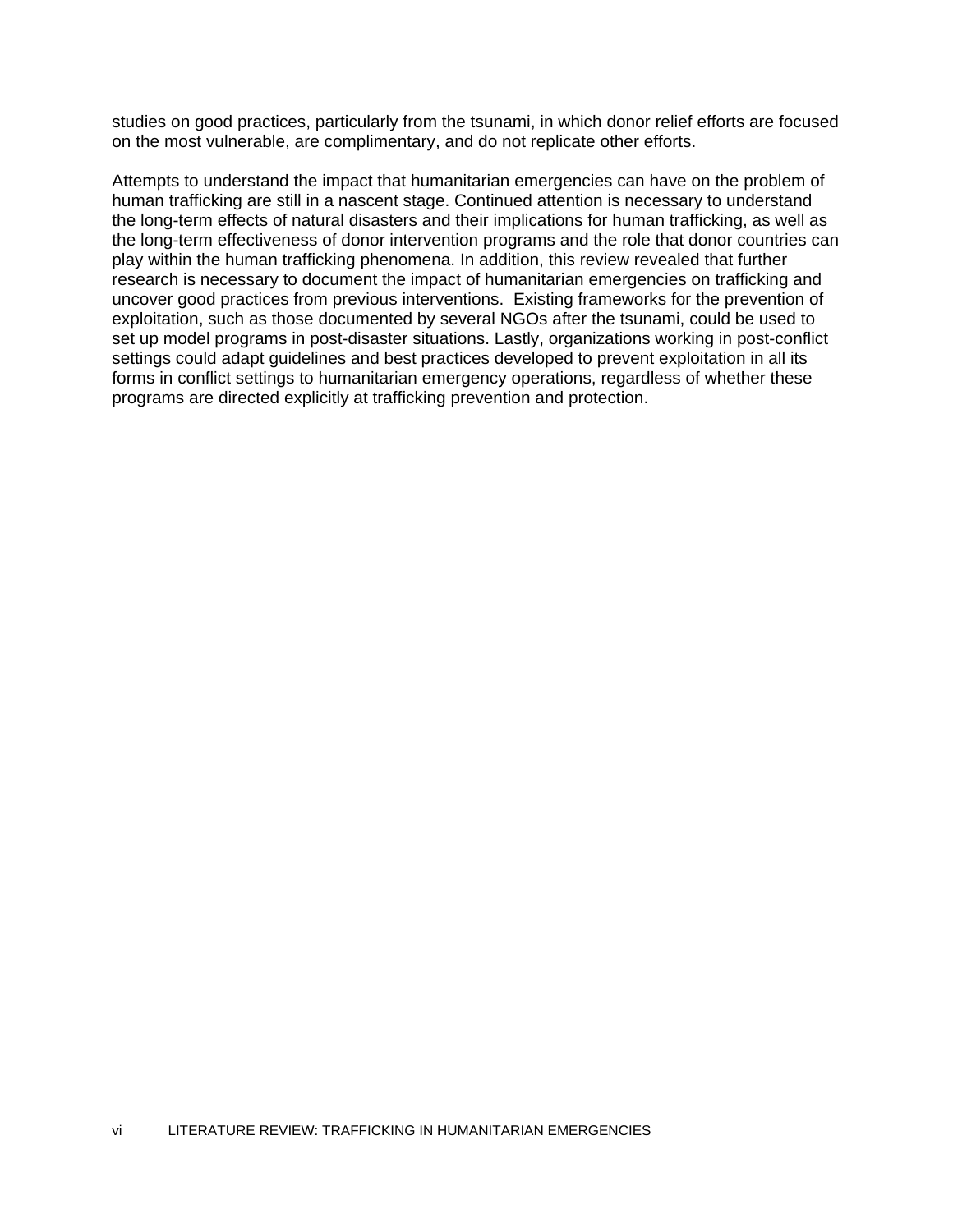studies on good practices, particularly from the tsunami, in which donor relief efforts are focused on the most vulnerable, are complimentary, and do not replicate other efforts.

Attempts to understand the impact that humanitarian emergencies can have on the problem of human trafficking are still in a nascent stage. Continued attention is necessary to understand the long-term effects of natural disasters and their implications for human trafficking, as well as the long-term effectiveness of donor intervention programs and the role that donor countries can play within the human trafficking phenomena. In addition, this review revealed that further research is necessary to document the impact of humanitarian emergencies on trafficking and uncover good practices from previous interventions. Existing frameworks for the prevention of exploitation, such as those documented by several NGOs after the tsunami, could be used to set up model programs in post-disaster situations. Lastly, organizations working in post-conflict settings could adapt guidelines and best practices developed to prevent exploitation in all its forms in conflict settings to humanitarian emergency operations, regardless of whether these programs are directed explicitly at trafficking prevention and protection.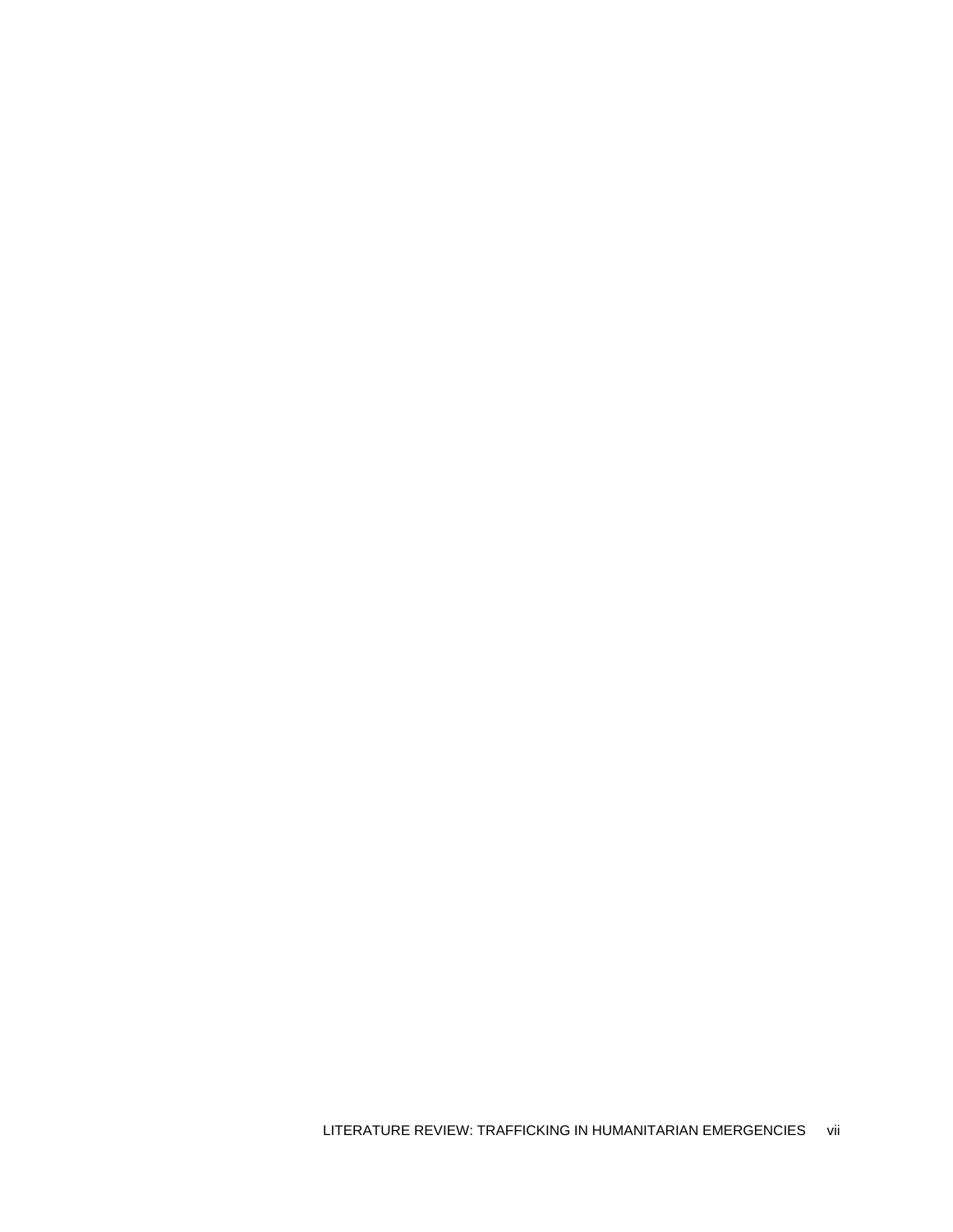LITERATURE REVIEW: TRAFFICKING IN HUMANITARIAN EMERGENCIES vii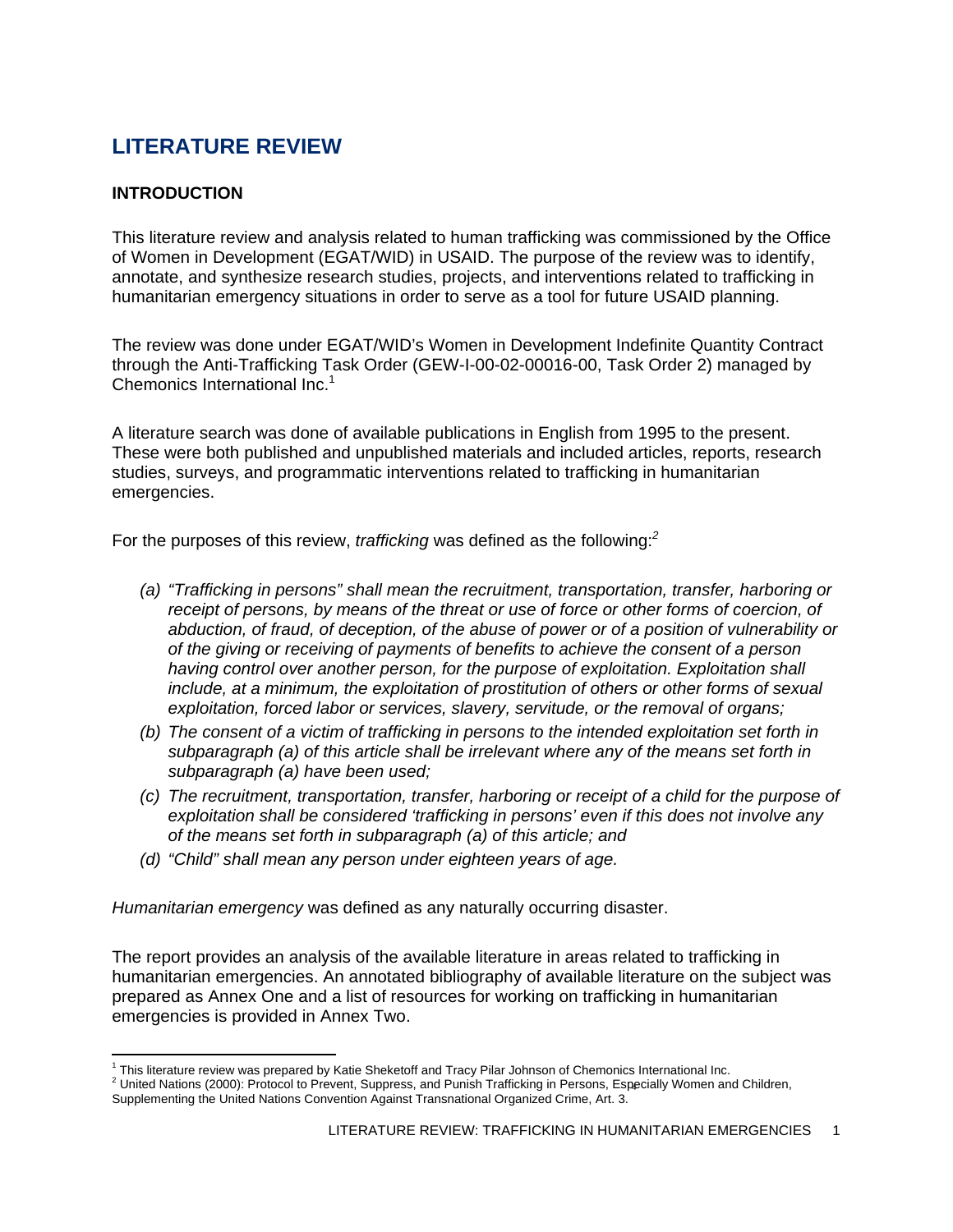## **LITERATURE REVIEW**

#### **INTRODUCTION**

This literature review and analysis related to human trafficking was commissioned by the Office of Women in Development (EGAT/WID) in USAID. The purpose of the review was to identify, annotate, and synthesize research studies, projects, and interventions related to trafficking in humanitarian emergency situations in order to serve as a tool for future USAID planning.

The review was done under EGAT/WID's Women in Development Indefinite Quantity Contract through the Anti-Trafficking Task Order (GEW-I-00-02-00016-00, Task Order 2) managed by Chemonics International Inc.<sup>1</sup>

A literature search was done of available publications in English from 1995 to the present. These were both published and unpublished materials and included articles, reports, research studies, surveys, and programmatic interventions related to trafficking in humanitarian emergencies.

For the purposes of this review, *trafficking* was defined as the following:*<sup>2</sup>*

- *(a) "Trafficking in persons" shall mean the recruitment, transportation, transfer, harboring or*  receipt of persons, by means of the threat or use of force or other forms of coercion, of *abduction, of fraud, of deception, of the abuse of power or of a position of vulnerability or of the giving or receiving of payments of benefits to achieve the consent of a person having control over another person, for the purpose of exploitation. Exploitation shall include, at a minimum, the exploitation of prostitution of others or other forms of sexual exploitation, forced labor or services, slavery, servitude, or the removal of organs;*
- *(b) The consent of a victim of trafficking in persons to the intended exploitation set forth in subparagraph (a) of this article shall be irrelevant where any of the means set forth in subparagraph (a) have been used;*
- *(c) The recruitment, transportation, transfer, harboring or receipt of a child for the purpose of exploitation shall be considered 'trafficking in persons' even if this does not involve any of the means set forth in subparagraph (a) of this article; and*
- *(d) "Child" shall mean any person under eighteen years of age.*

*Humanitarian emergency* was defined as any naturally occurring disaster.

The report provides an analysis of the available literature in areas related to trafficking in humanitarian emergencies. An annotated bibliography of available literature on the subject was prepared as Annex One and a list of resources for working on trafficking in humanitarian emergencies is provided in Annex Two.

<sup>&</sup>lt;sup>1</sup> This literature review was prepared by Katie Sheketoff and Tracy Pilar Johnson of Chemonics International Inc.<br><sup>2</sup> United National (2000): Protect to Prayent, Sympress, and Dynish Trafficking in Personal Fenocially Wem

United Nations (2000): Protocol to Prevent, Suppress, and Punish Trafficking in Persons, Especially Women and Children, 4

Supplementing the United Nations Convention Against Transnational Organized Crime, Art. 3.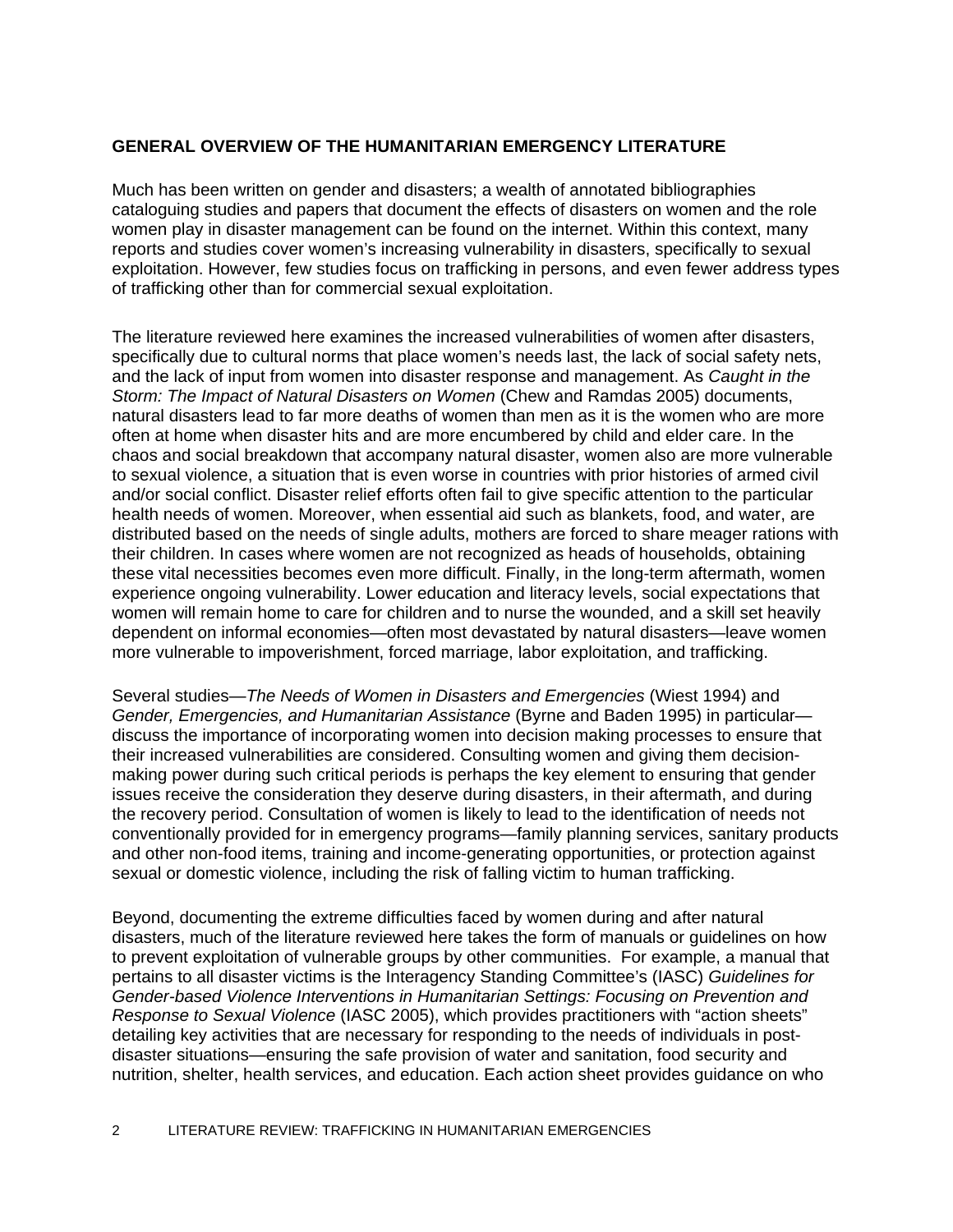#### **GENERAL OVERVIEW OF THE HUMANITARIAN EMERGENCY LITERATURE**

Much has been written on gender and disasters; a wealth of annotated bibliographies cataloguing studies and papers that document the effects of disasters on women and the role women play in disaster management can be found on the internet. Within this context, many reports and studies cover women's increasing vulnerability in disasters, specifically to sexual exploitation. However, few studies focus on trafficking in persons, and even fewer address types of trafficking other than for commercial sexual exploitation.

The literature reviewed here examines the increased vulnerabilities of women after disasters, specifically due to cultural norms that place women's needs last, the lack of social safety nets, and the lack of input from women into disaster response and management. As *Caught in the Storm: The Impact of Natural Disasters on Women* (Chew and Ramdas 2005) documents, natural disasters lead to far more deaths of women than men as it is the women who are more often at home when disaster hits and are more encumbered by child and elder care. In the chaos and social breakdown that accompany natural disaster, women also are more vulnerable to sexual violence, a situation that is even worse in countries with prior histories of armed civil and/or social conflict. Disaster relief efforts often fail to give specific attention to the particular health needs of women. Moreover, when essential aid such as blankets, food, and water, are distributed based on the needs of single adults, mothers are forced to share meager rations with their children. In cases where women are not recognized as heads of households, obtaining these vital necessities becomes even more difficult. Finally, in the long-term aftermath, women experience ongoing vulnerability. Lower education and literacy levels, social expectations that women will remain home to care for children and to nurse the wounded, and a skill set heavily dependent on informal economies—often most devastated by natural disasters—leave women more vulnerable to impoverishment, forced marriage, labor exploitation, and trafficking.

Several studies—*The Needs of Women in Disasters and Emergencies* (Wiest 1994) and *Gender, Emergencies, and Humanitarian Assistance* (Byrne and Baden 1995) in particular discuss the importance of incorporating women into decision making processes to ensure that their increased vulnerabilities are considered. Consulting women and giving them decisionmaking power during such critical periods is perhaps the key element to ensuring that gender issues receive the consideration they deserve during disasters, in their aftermath, and during the recovery period. Consultation of women is likely to lead to the identification of needs not conventionally provided for in emergency programs—family planning services, sanitary products and other non-food items, training and income-generating opportunities, or protection against sexual or domestic violence, including the risk of falling victim to human trafficking.

Beyond, documenting the extreme difficulties faced by women during and after natural disasters, much of the literature reviewed here takes the form of manuals or guidelines on how to prevent exploitation of vulnerable groups by other communities. For example, a manual that pertains to all disaster victims is the Interagency Standing Committee's (IASC) *Guidelines for Gender-based Violence Interventions in Humanitarian Settings: Focusing on Prevention and Response to Sexual Violence* (IASC 2005), which provides practitioners with "action sheets" detailing key activities that are necessary for responding to the needs of individuals in postdisaster situations—ensuring the safe provision of water and sanitation, food security and nutrition, shelter, health services, and education. Each action sheet provides guidance on who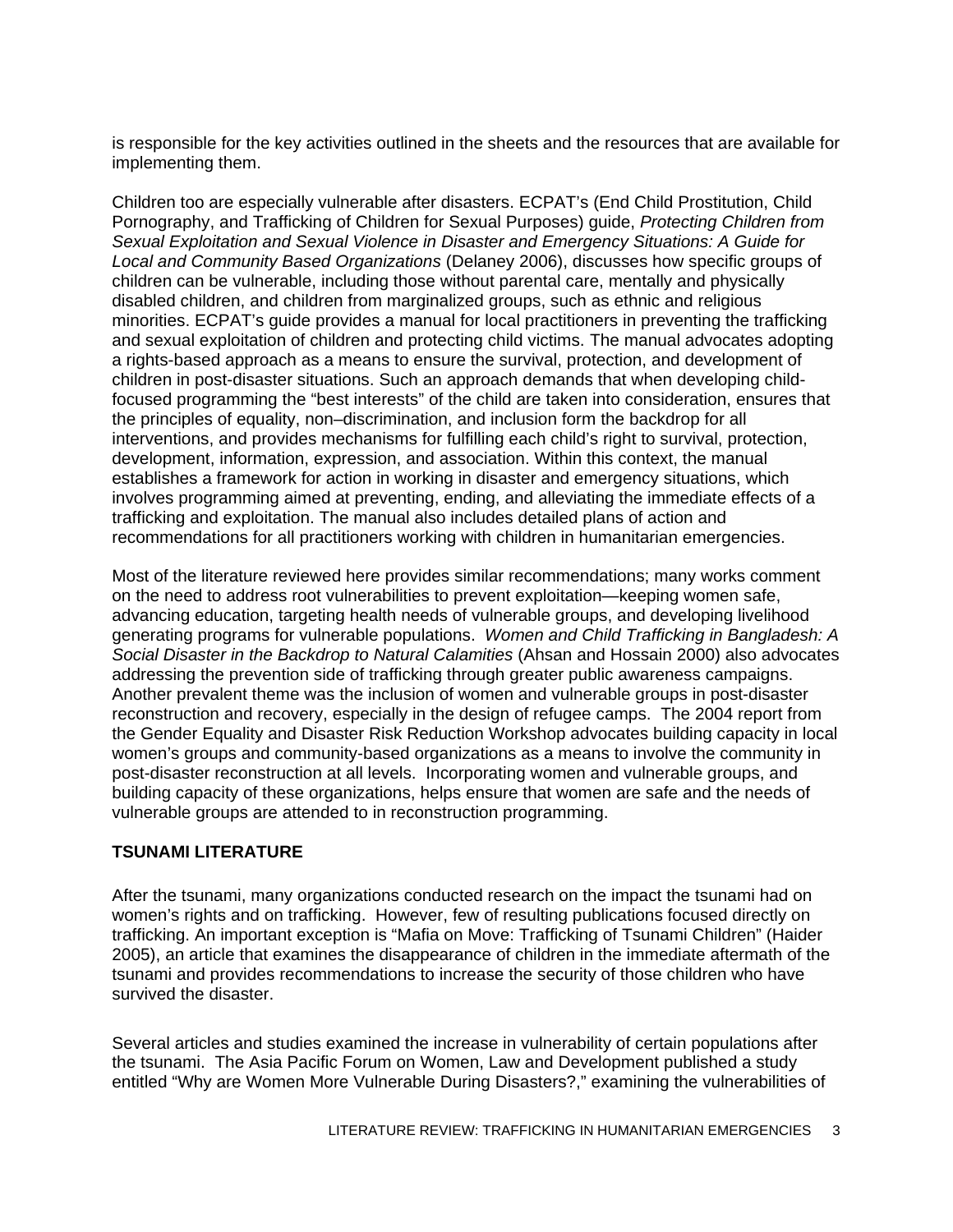is responsible for the key activities outlined in the sheets and the resources that are available for implementing them.

Children too are especially vulnerable after disasters. ECPAT's (End Child Prostitution, Child Pornography, and Trafficking of Children for Sexual Purposes) guide, *Protecting Children from Sexual Exploitation and Sexual Violence in Disaster and Emergency Situations: A Guide for Local and Community Based Organizations* (Delaney 2006), discusses how specific groups of children can be vulnerable, including those without parental care, mentally and physically disabled children, and children from marginalized groups, such as ethnic and religious minorities. ECPAT's guide provides a manual for local practitioners in preventing the trafficking and sexual exploitation of children and protecting child victims. The manual advocates adopting a rights-based approach as a means to ensure the survival, protection, and development of children in post-disaster situations. Such an approach demands that when developing childfocused programming the "best interests" of the child are taken into consideration, ensures that the principles of equality, non–discrimination, and inclusion form the backdrop for all interventions, and provides mechanisms for fulfilling each child's right to survival, protection, development, information, expression, and association. Within this context, the manual establishes a framework for action in working in disaster and emergency situations, which involves programming aimed at preventing, ending, and alleviating the immediate effects of a trafficking and exploitation. The manual also includes detailed plans of action and recommendations for all practitioners working with children in humanitarian emergencies.

Most of the literature reviewed here provides similar recommendations; many works comment on the need to address root vulnerabilities to prevent exploitation—keeping women safe, advancing education, targeting health needs of vulnerable groups, and developing livelihood generating programs for vulnerable populations. *Women and Child Trafficking in Bangladesh: A Social Disaster in the Backdrop to Natural Calamities* (Ahsan and Hossain 2000) also advocates addressing the prevention side of trafficking through greater public awareness campaigns. Another prevalent theme was the inclusion of women and vulnerable groups in post-disaster reconstruction and recovery, especially in the design of refugee camps. The 2004 report from the Gender Equality and Disaster Risk Reduction Workshop advocates building capacity in local women's groups and community-based organizations as a means to involve the community in post-disaster reconstruction at all levels. Incorporating women and vulnerable groups, and building capacity of these organizations, helps ensure that women are safe and the needs of vulnerable groups are attended to in reconstruction programming.

#### **TSUNAMI LITERATURE**

After the tsunami, many organizations conducted research on the impact the tsunami had on women's rights and on trafficking. However, few of resulting publications focused directly on trafficking. An important exception is "Mafia on Move: Trafficking of Tsunami Children" (Haider 2005), an article that examines the disappearance of children in the immediate aftermath of the tsunami and provides recommendations to increase the security of those children who have survived the disaster.

Several articles and studies examined the increase in vulnerability of certain populations after the tsunami. The Asia Pacific Forum on Women, Law and Development published a study entitled "Why are Women More Vulnerable During Disasters?," examining the vulnerabilities of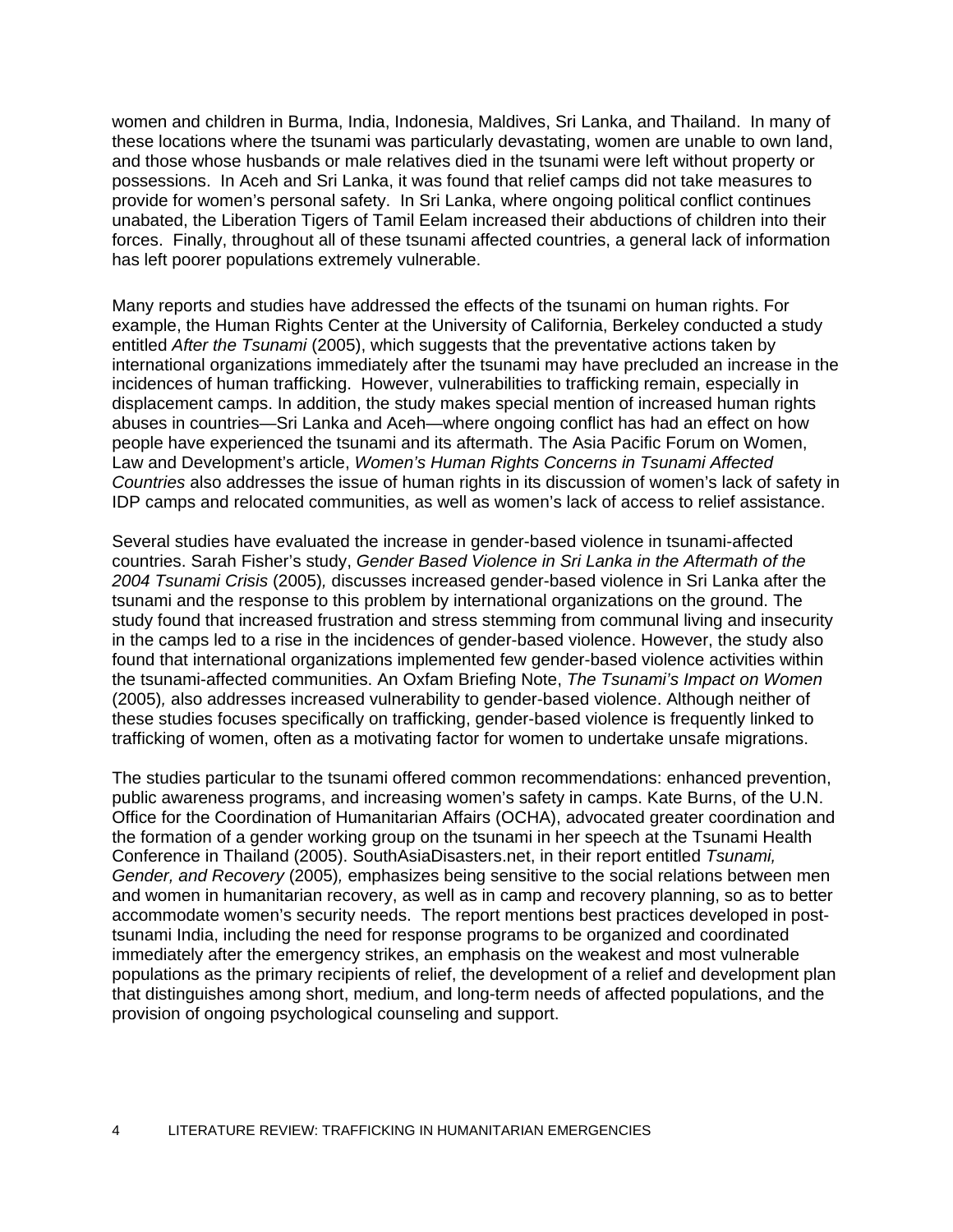women and children in Burma, India, Indonesia, Maldives, Sri Lanka, and Thailand. In many of these locations where the tsunami was particularly devastating, women are unable to own land, and those whose husbands or male relatives died in the tsunami were left without property or possessions. In Aceh and Sri Lanka, it was found that relief camps did not take measures to provide for women's personal safety. In Sri Lanka, where ongoing political conflict continues unabated, the Liberation Tigers of Tamil Eelam increased their abductions of children into their forces. Finally, throughout all of these tsunami affected countries, a general lack of information has left poorer populations extremely vulnerable.

Many reports and studies have addressed the effects of the tsunami on human rights. For example, the Human Rights Center at the University of California, Berkeley conducted a study entitled *After the Tsunami* (2005), which suggests that the preventative actions taken by international organizations immediately after the tsunami may have precluded an increase in the incidences of human trafficking. However, vulnerabilities to trafficking remain, especially in displacement camps. In addition, the study makes special mention of increased human rights abuses in countries—Sri Lanka and Aceh—where ongoing conflict has had an effect on how people have experienced the tsunami and its aftermath. The Asia Pacific Forum on Women, Law and Development's article, *Women's Human Rights Concerns in Tsunami Affected Countries* also addresses the issue of human rights in its discussion of women's lack of safety in IDP camps and relocated communities, as well as women's lack of access to relief assistance.

Several studies have evaluated the increase in gender-based violence in tsunami-affected countries. Sarah Fisher's study, *Gender Based Violence in Sri Lanka in the Aftermath of the 2004 Tsunami Crisis* (2005)*,* discusses increased gender-based violence in Sri Lanka after the tsunami and the response to this problem by international organizations on the ground. The study found that increased frustration and stress stemming from communal living and insecurity in the camps led to a rise in the incidences of gender-based violence. However, the study also found that international organizations implemented few gender-based violence activities within the tsunami-affected communities. An Oxfam Briefing Note, *The Tsunami's Impact on Women*  (2005)*,* also addresses increased vulnerability to gender-based violence. Although neither of these studies focuses specifically on trafficking, gender-based violence is frequently linked to trafficking of women, often as a motivating factor for women to undertake unsafe migrations.

The studies particular to the tsunami offered common recommendations: enhanced prevention, public awareness programs, and increasing women's safety in camps. Kate Burns, of the U.N. Office for the Coordination of Humanitarian Affairs (OCHA), advocated greater coordination and the formation of a gender working group on the tsunami in her speech at the Tsunami Health Conference in Thailand (2005). SouthAsiaDisasters.net, in their report entitled *Tsunami, Gender, and Recovery* (2005)*,* emphasizes being sensitive to the social relations between men and women in humanitarian recovery, as well as in camp and recovery planning, so as to better accommodate women's security needs. The report mentions best practices developed in posttsunami India, including the need for response programs to be organized and coordinated immediately after the emergency strikes, an emphasis on the weakest and most vulnerable populations as the primary recipients of relief, the development of a relief and development plan that distinguishes among short, medium, and long-term needs of affected populations, and the provision of ongoing psychological counseling and support.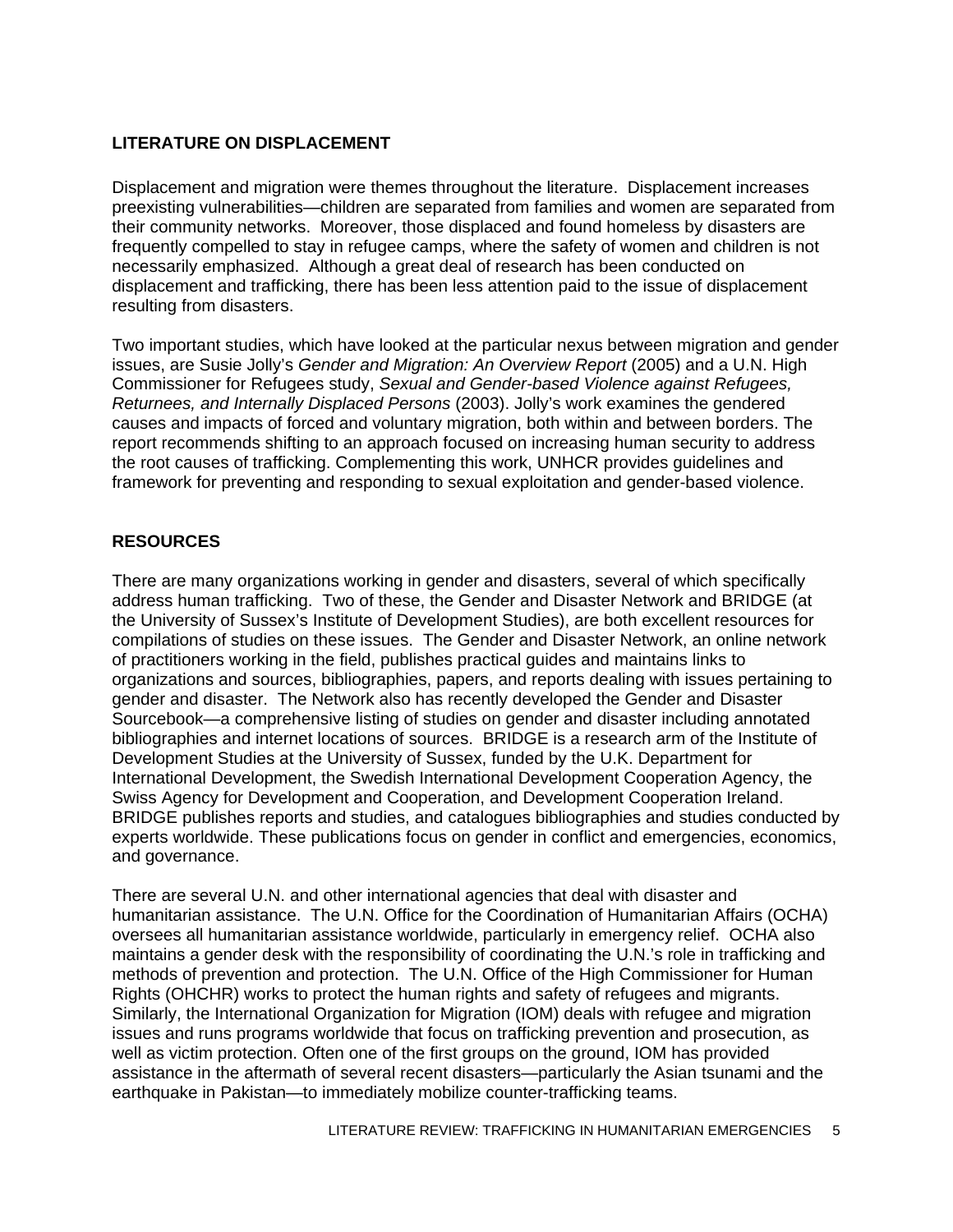#### **LITERATURE ON DISPLACEMENT**

Displacement and migration were themes throughout the literature. Displacement increases preexisting vulnerabilities—children are separated from families and women are separated from their community networks. Moreover, those displaced and found homeless by disasters are frequently compelled to stay in refugee camps, where the safety of women and children is not necessarily emphasized. Although a great deal of research has been conducted on displacement and trafficking, there has been less attention paid to the issue of displacement resulting from disasters.

Two important studies, which have looked at the particular nexus between migration and gender issues, are Susie Jolly's *Gender and Migration: An Overview Report* (2005) and a U.N. High Commissioner for Refugees study, *Sexual and Gender-based Violence against Refugees, Returnees, and Internally Displaced Persons* (2003). Jolly's work examines the gendered causes and impacts of forced and voluntary migration, both within and between borders. The report recommends shifting to an approach focused on increasing human security to address the root causes of trafficking. Complementing this work, UNHCR provides guidelines and framework for preventing and responding to sexual exploitation and gender-based violence.

#### **RESOURCES**

There are many organizations working in gender and disasters, several of which specifically address human trafficking. Two of these, the Gender and Disaster Network and BRIDGE (at the University of Sussex's Institute of Development Studies), are both excellent resources for compilations of studies on these issues. The Gender and Disaster Network, an online network of practitioners working in the field, publishes practical guides and maintains links to organizations and sources, bibliographies, papers, and reports dealing with issues pertaining to gender and disaster. The Network also has recently developed the Gender and Disaster Sourcebook—a comprehensive listing of studies on gender and disaster including annotated bibliographies and internet locations of sources. BRIDGE is a research arm of the Institute of Development Studies at the University of Sussex, funded by the U.K. Department for International Development, the Swedish International Development Cooperation Agency, the Swiss Agency for Development and Cooperation, and Development Cooperation Ireland. BRIDGE publishes reports and studies, and catalogues bibliographies and studies conducted by experts worldwide. These publications focus on gender in conflict and emergencies, economics, and governance.

There are several U.N. and other international agencies that deal with disaster and humanitarian assistance. The U.N. Office for the Coordination of Humanitarian Affairs (OCHA) oversees all humanitarian assistance worldwide, particularly in emergency relief. OCHA also maintains a gender desk with the responsibility of coordinating the U.N.'s role in trafficking and methods of prevention and protection. The U.N. Office of the High Commissioner for Human Rights (OHCHR) works to protect the human rights and safety of refugees and migrants. Similarly, the International Organization for Migration (IOM) deals with refugee and migration issues and runs programs worldwide that focus on trafficking prevention and prosecution, as well as victim protection. Often one of the first groups on the ground, IOM has provided assistance in the aftermath of several recent disasters—particularly the Asian tsunami and the earthquake in Pakistan—to immediately mobilize counter-trafficking teams.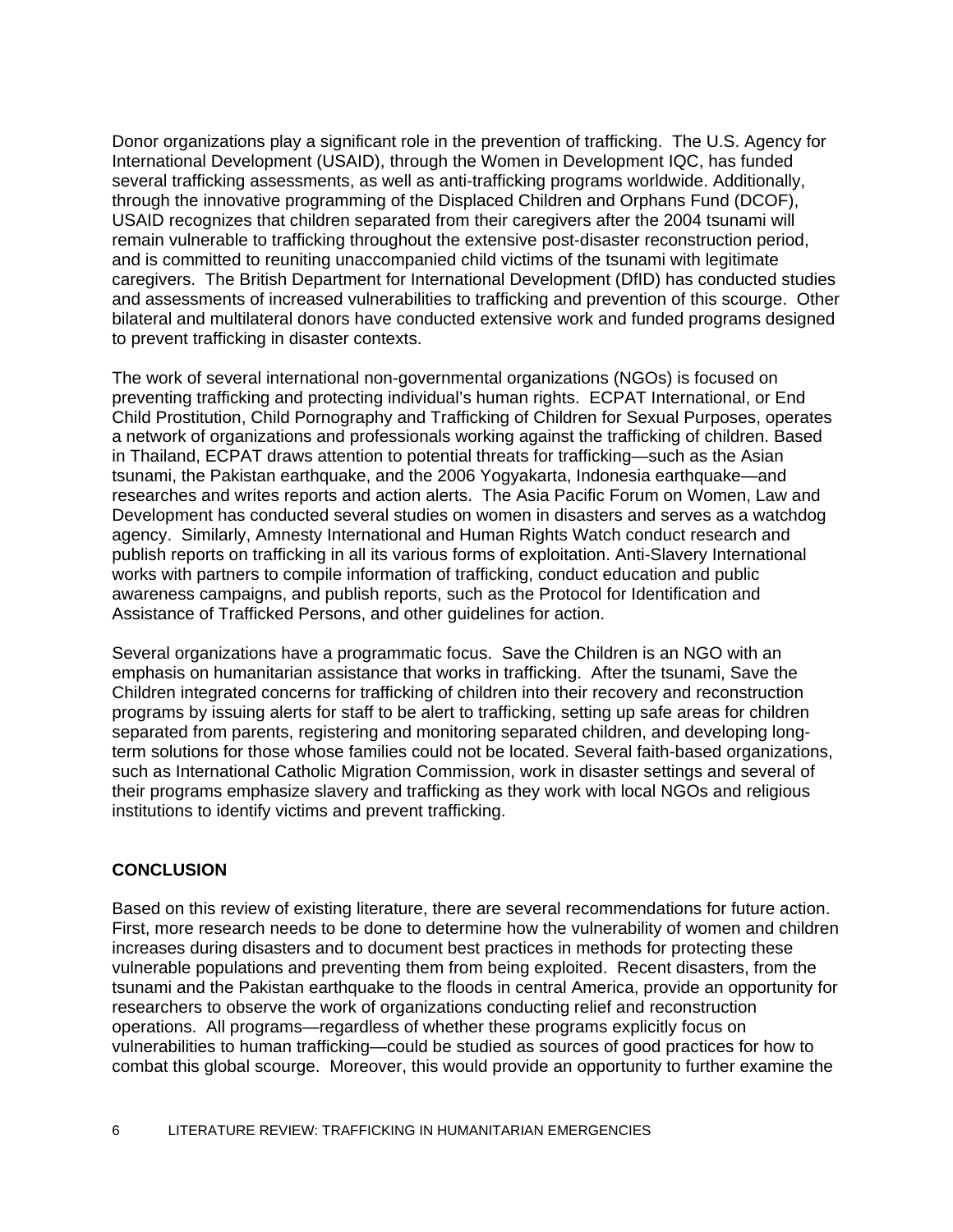Donor organizations play a significant role in the prevention of trafficking. The U.S. Agency for International Development (USAID), through the Women in Development IQC, has funded several trafficking assessments, as well as anti-trafficking programs worldwide. Additionally, through the innovative programming of the Displaced Children and Orphans Fund (DCOF), USAID recognizes that children separated from their caregivers after the 2004 tsunami will remain vulnerable to trafficking throughout the extensive post-disaster reconstruction period, and is committed to reuniting unaccompanied child victims of the tsunami with legitimate caregivers. The British Department for International Development (DfID) has conducted studies and assessments of increased vulnerabilities to trafficking and prevention of this scourge. Other bilateral and multilateral donors have conducted extensive work and funded programs designed to prevent trafficking in disaster contexts.

The work of several international non-governmental organizations (NGOs) is focused on preventing trafficking and protecting individual's human rights. ECPAT International, or End Child Prostitution, Child Pornography and Trafficking of Children for Sexual Purposes, operates a network of organizations and professionals working against the trafficking of children. Based in Thailand, ECPAT draws attention to potential threats for trafficking—such as the Asian tsunami, the Pakistan earthquake, and the 2006 Yogyakarta, Indonesia earthquake—and researches and writes reports and action alerts. The Asia Pacific Forum on Women, Law and Development has conducted several studies on women in disasters and serves as a watchdog agency. Similarly, Amnesty International and Human Rights Watch conduct research and publish reports on trafficking in all its various forms of exploitation. Anti-Slavery International works with partners to compile information of trafficking, conduct education and public awareness campaigns, and publish reports, such as the Protocol for Identification and Assistance of Trafficked Persons, and other guidelines for action.

Several organizations have a programmatic focus. Save the Children is an NGO with an emphasis on humanitarian assistance that works in trafficking. After the tsunami, Save the Children integrated concerns for trafficking of children into their recovery and reconstruction programs by issuing alerts for staff to be alert to trafficking, setting up safe areas for children separated from parents, registering and monitoring separated children, and developing longterm solutions for those whose families could not be located. Several faith-based organizations, such as International Catholic Migration Commission, work in disaster settings and several of their programs emphasize slavery and trafficking as they work with local NGOs and religious institutions to identify victims and prevent trafficking.

#### **CONCLUSION**

Based on this review of existing literature, there are several recommendations for future action. First, more research needs to be done to determine how the vulnerability of women and children increases during disasters and to document best practices in methods for protecting these vulnerable populations and preventing them from being exploited. Recent disasters, from the tsunami and the Pakistan earthquake to the floods in central America, provide an opportunity for researchers to observe the work of organizations conducting relief and reconstruction operations. All programs—regardless of whether these programs explicitly focus on vulnerabilities to human trafficking—could be studied as sources of good practices for how to combat this global scourge. Moreover, this would provide an opportunity to further examine the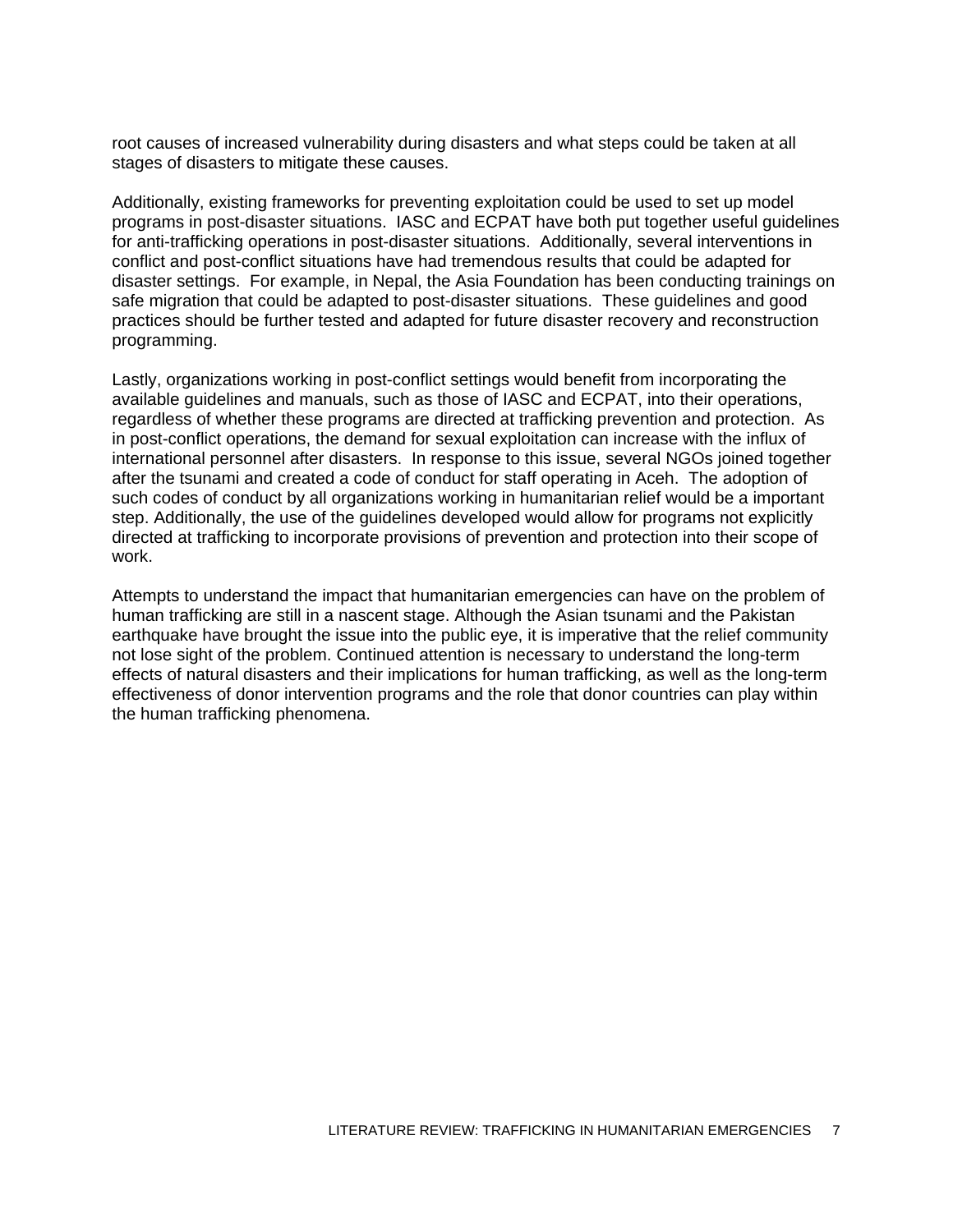root causes of increased vulnerability during disasters and what steps could be taken at all stages of disasters to mitigate these causes.

Additionally, existing frameworks for preventing exploitation could be used to set up model programs in post-disaster situations. IASC and ECPAT have both put together useful guidelines for anti-trafficking operations in post-disaster situations. Additionally, several interventions in conflict and post-conflict situations have had tremendous results that could be adapted for disaster settings. For example, in Nepal, the Asia Foundation has been conducting trainings on safe migration that could be adapted to post-disaster situations. These guidelines and good practices should be further tested and adapted for future disaster recovery and reconstruction programming.

Lastly, organizations working in post-conflict settings would benefit from incorporating the available guidelines and manuals, such as those of IASC and ECPAT, into their operations, regardless of whether these programs are directed at trafficking prevention and protection. As in post-conflict operations, the demand for sexual exploitation can increase with the influx of international personnel after disasters. In response to this issue, several NGOs joined together after the tsunami and created a code of conduct for staff operating in Aceh. The adoption of such codes of conduct by all organizations working in humanitarian relief would be a important step. Additionally, the use of the guidelines developed would allow for programs not explicitly directed at trafficking to incorporate provisions of prevention and protection into their scope of work.

Attempts to understand the impact that humanitarian emergencies can have on the problem of human trafficking are still in a nascent stage. Although the Asian tsunami and the Pakistan earthquake have brought the issue into the public eye, it is imperative that the relief community not lose sight of the problem. Continued attention is necessary to understand the long-term effects of natural disasters and their implications for human trafficking, as well as the long-term effectiveness of donor intervention programs and the role that donor countries can play within the human trafficking phenomena.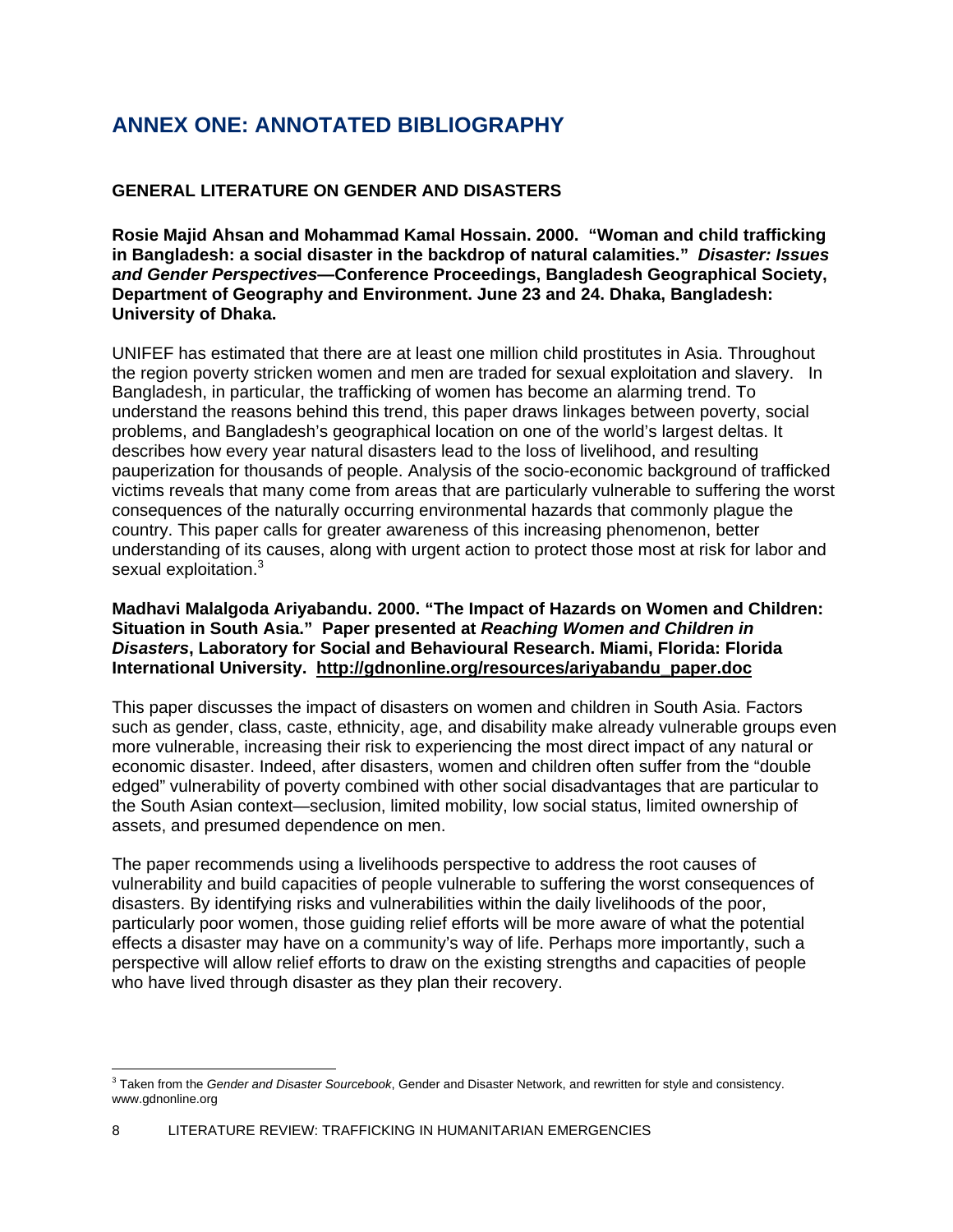### **ANNEX ONE: ANNOTATED BIBLIOGRAPHY**

#### **GENERAL LITERATURE ON GENDER AND DISASTERS**

**Rosie Majid Ahsan and Mohammad Kamal Hossain. 2000. "Woman and child trafficking in Bangladesh: a social disaster in the backdrop of natural calamities."** *Disaster: Issues and Gender Perspectives***—Conference Proceedings, Bangladesh Geographical Society, Department of Geography and Environment. June 23 and 24. Dhaka, Bangladesh: University of Dhaka.** 

UNIFEF has estimated that there are at least one million child prostitutes in Asia. Throughout the region poverty stricken women and men are traded for sexual exploitation and slavery. In Bangladesh, in particular, the trafficking of women has become an alarming trend. To understand the reasons behind this trend, this paper draws linkages between poverty, social problems, and Bangladesh's geographical location on one of the world's largest deltas. It describes how every year natural disasters lead to the loss of livelihood, and resulting pauperization for thousands of people. Analysis of the socio-economic background of trafficked victims reveals that many come from areas that are particularly vulnerable to suffering the worst consequences of the naturally occurring environmental hazards that commonly plague the country. This paper calls for greater awareness of this increasing phenomenon, better understanding of its causes, along with urgent action to protect those most at risk for labor and sexual exploitation.<sup>3</sup>

#### **Madhavi Malalgoda Ariyabandu. 2000. "The Impact of Hazards on Women and Children: Situation in South Asia." Paper presented at** *Reaching Women and Children in Disasters***, Laboratory for Social and Behavioural Research. Miami, Florida: Florida International University. http://gdnonline.org/resources/ariyabandu\_paper.doc**

This paper discusses the impact of disasters on women and children in South Asia. Factors such as gender, class, caste, ethnicity, age, and disability make already vulnerable groups even more vulnerable, increasing their risk to experiencing the most direct impact of any natural or economic disaster. Indeed, after disasters, women and children often suffer from the "double edged" vulnerability of poverty combined with other social disadvantages that are particular to the South Asian context—seclusion, limited mobility, low social status, limited ownership of assets, and presumed dependence on men.

The paper recommends using a livelihoods perspective to address the root causes of vulnerability and build capacities of people vulnerable to suffering the worst consequences of disasters. By identifying risks and vulnerabilities within the daily livelihoods of the poor, particularly poor women, those guiding relief efforts will be more aware of what the potential effects a disaster may have on a community's way of life. Perhaps more importantly, such a perspective will allow relief efforts to draw on the existing strengths and capacities of people who have lived through disaster as they plan their recovery.

 $\overline{a}$ 3 Taken from the *Gender and Disaster Sourcebook*, Gender and Disaster Network, and rewritten for style and consistency. www.gdnonline.org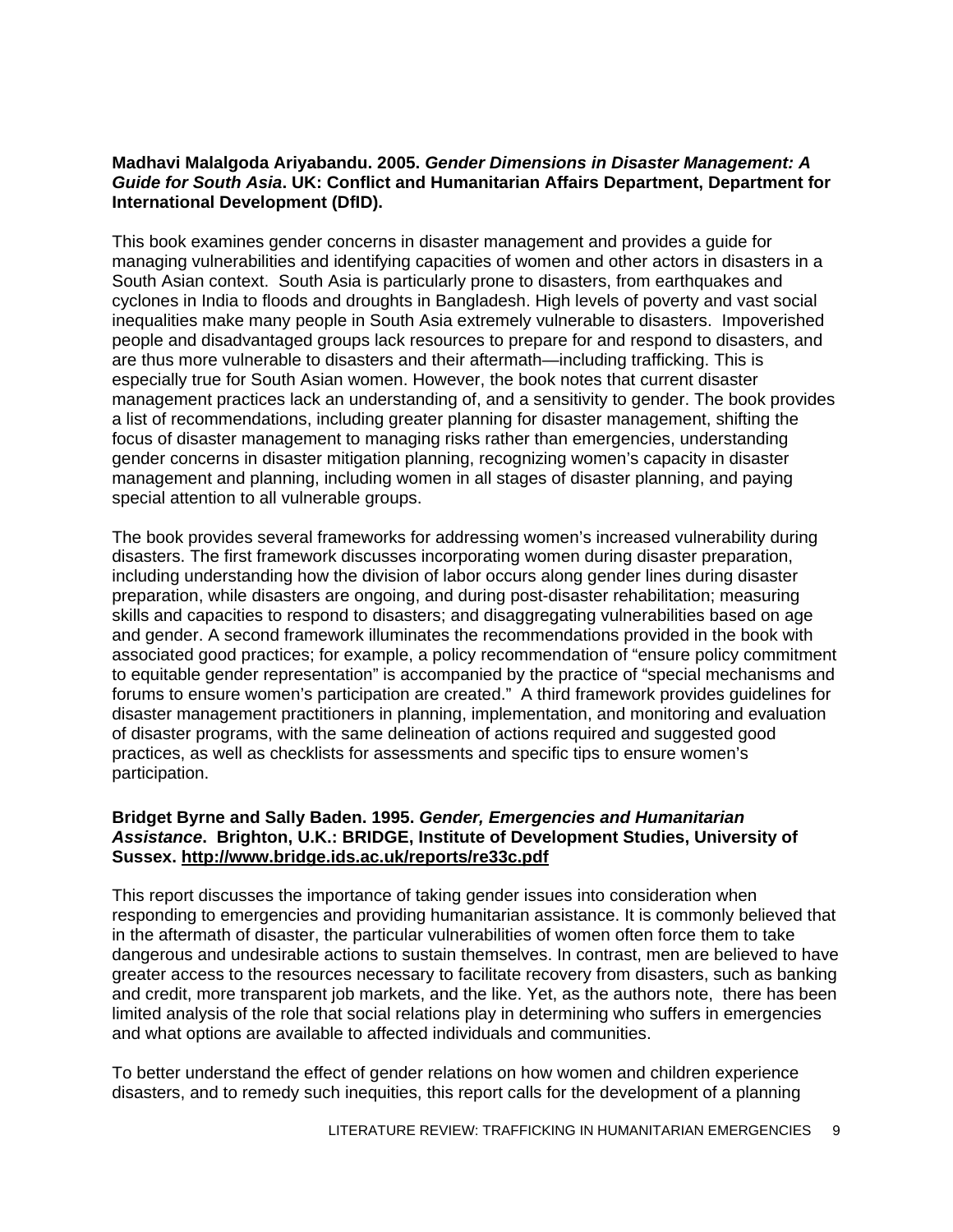#### **Madhavi Malalgoda Ariyabandu. 2005.** *Gender Dimensions in Disaster Management: A Guide for South Asia***. UK: Conflict and Humanitarian Affairs Department, Department for International Development (DfID).**

This book examines gender concerns in disaster management and provides a guide for managing vulnerabilities and identifying capacities of women and other actors in disasters in a South Asian context. South Asia is particularly prone to disasters, from earthquakes and cyclones in India to floods and droughts in Bangladesh. High levels of poverty and vast social inequalities make many people in South Asia extremely vulnerable to disasters. Impoverished people and disadvantaged groups lack resources to prepare for and respond to disasters, and are thus more vulnerable to disasters and their aftermath—including trafficking. This is especially true for South Asian women. However, the book notes that current disaster management practices lack an understanding of, and a sensitivity to gender. The book provides a list of recommendations, including greater planning for disaster management, shifting the focus of disaster management to managing risks rather than emergencies, understanding gender concerns in disaster mitigation planning, recognizing women's capacity in disaster management and planning, including women in all stages of disaster planning, and paying special attention to all vulnerable groups.

The book provides several frameworks for addressing women's increased vulnerability during disasters. The first framework discusses incorporating women during disaster preparation, including understanding how the division of labor occurs along gender lines during disaster preparation, while disasters are ongoing, and during post-disaster rehabilitation; measuring skills and capacities to respond to disasters; and disaggregating vulnerabilities based on age and gender. A second framework illuminates the recommendations provided in the book with associated good practices; for example, a policy recommendation of "ensure policy commitment to equitable gender representation" is accompanied by the practice of "special mechanisms and forums to ensure women's participation are created." A third framework provides guidelines for disaster management practitioners in planning, implementation, and monitoring and evaluation of disaster programs, with the same delineation of actions required and suggested good practices, as well as checklists for assessments and specific tips to ensure women's participation.

#### **Bridget Byrne and Sally Baden. 1995.** *Gender, Emergencies and Humanitarian Assistance***. Brighton, U.K.: BRIDGE, Institute of Development Studies, University of Sussex. http://www.bridge.ids.ac.uk/reports/re33c.pdf**

This report discusses the importance of taking gender issues into consideration when responding to emergencies and providing humanitarian assistance. It is commonly believed that in the aftermath of disaster, the particular vulnerabilities of women often force them to take dangerous and undesirable actions to sustain themselves. In contrast, men are believed to have greater access to the resources necessary to facilitate recovery from disasters, such as banking and credit, more transparent job markets, and the like. Yet, as the authors note, there has been limited analysis of the role that social relations play in determining who suffers in emergencies and what options are available to affected individuals and communities.

To better understand the effect of gender relations on how women and children experience disasters, and to remedy such inequities, this report calls for the development of a planning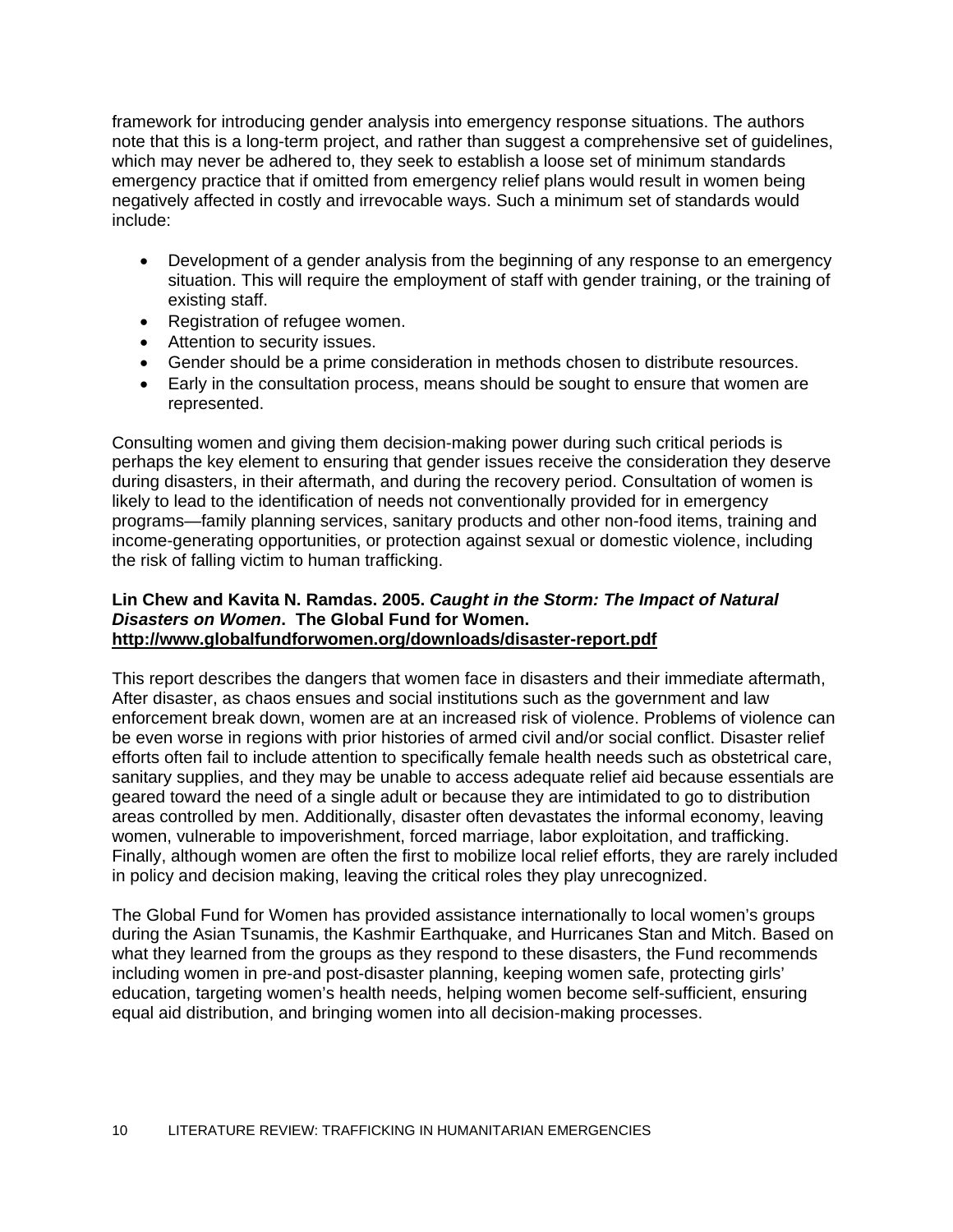framework for introducing gender analysis into emergency response situations. The authors note that this is a long-term project, and rather than suggest a comprehensive set of guidelines, which may never be adhered to, they seek to establish a loose set of minimum standards emergency practice that if omitted from emergency relief plans would result in women being negatively affected in costly and irrevocable ways. Such a minimum set of standards would include:

- Development of a gender analysis from the beginning of any response to an emergency situation. This will require the employment of staff with gender training, or the training of existing staff.
- Registration of refugee women.
- Attention to security issues.
- Gender should be a prime consideration in methods chosen to distribute resources.
- Early in the consultation process, means should be sought to ensure that women are represented.

Consulting women and giving them decision-making power during such critical periods is perhaps the key element to ensuring that gender issues receive the consideration they deserve during disasters, in their aftermath, and during the recovery period. Consultation of women is likely to lead to the identification of needs not conventionally provided for in emergency programs—family planning services, sanitary products and other non-food items, training and income-generating opportunities, or protection against sexual or domestic violence, including the risk of falling victim to human trafficking.

#### **Lin Chew and Kavita N. Ramdas. 2005.** *Caught in the Storm: The Impact of Natural Disasters on Women***. The Global Fund for Women. http://www.globalfundforwomen.org/downloads/disaster-report.pdf**

This report describes the dangers that women face in disasters and their immediate aftermath, After disaster, as chaos ensues and social institutions such as the government and law enforcement break down, women are at an increased risk of violence. Problems of violence can be even worse in regions with prior histories of armed civil and/or social conflict. Disaster relief efforts often fail to include attention to specifically female health needs such as obstetrical care, sanitary supplies, and they may be unable to access adequate relief aid because essentials are geared toward the need of a single adult or because they are intimidated to go to distribution areas controlled by men. Additionally, disaster often devastates the informal economy, leaving women, vulnerable to impoverishment, forced marriage, labor exploitation, and trafficking. Finally, although women are often the first to mobilize local relief efforts, they are rarely included in policy and decision making, leaving the critical roles they play unrecognized.

The Global Fund for Women has provided assistance internationally to local women's groups during the Asian Tsunamis, the Kashmir Earthquake, and Hurricanes Stan and Mitch. Based on what they learned from the groups as they respond to these disasters, the Fund recommends including women in pre-and post-disaster planning, keeping women safe, protecting girls' education, targeting women's health needs, helping women become self-sufficient, ensuring equal aid distribution, and bringing women into all decision-making processes.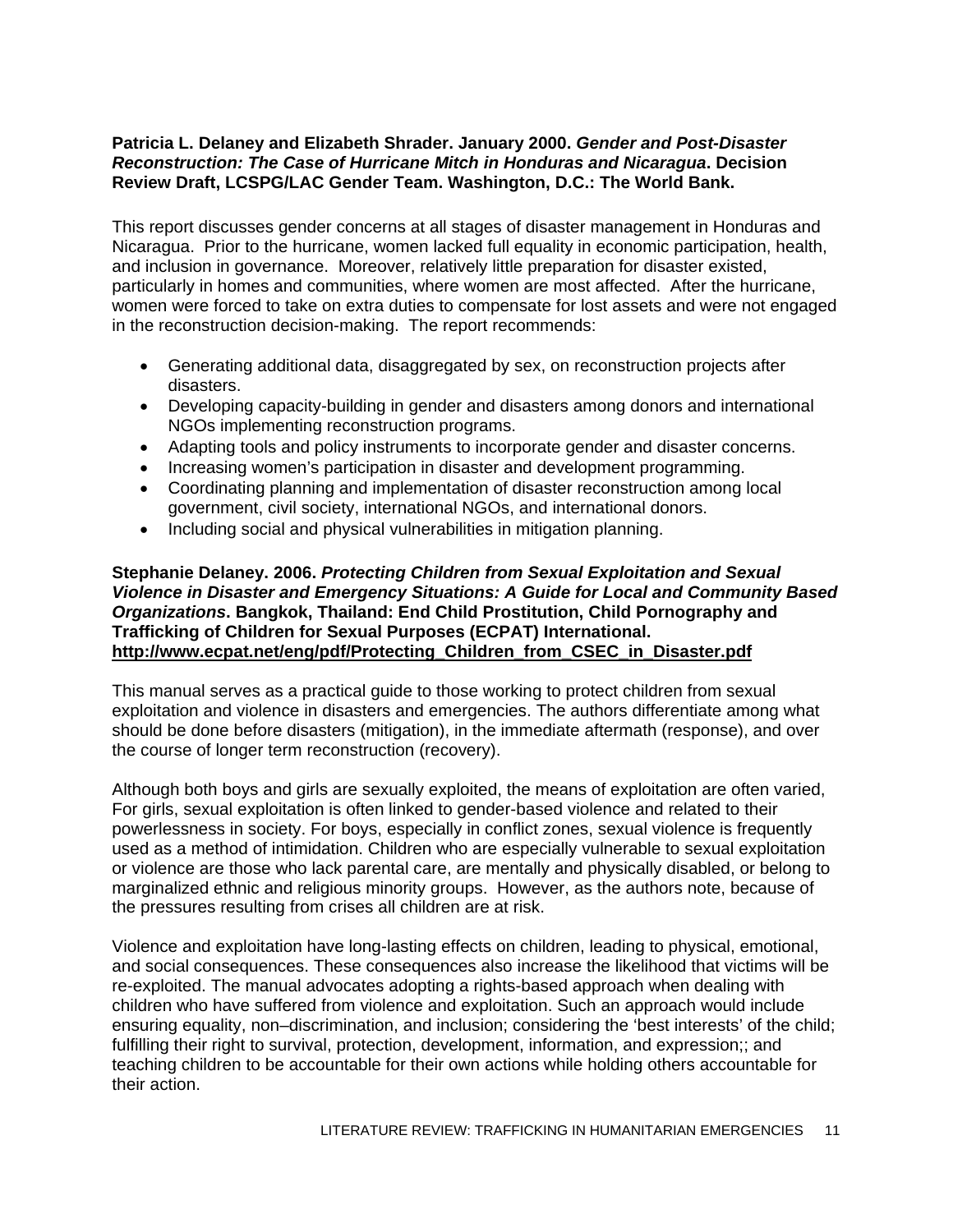#### **Patricia L. Delaney and Elizabeth Shrader. January 2000.** *Gender and Post-Disaster Reconstruction: The Case of Hurricane Mitch in Honduras and Nicaragua***. Decision Review Draft, LCSPG/LAC Gender Team. Washington, D.C.: The World Bank.**

This report discusses gender concerns at all stages of disaster management in Honduras and Nicaragua. Prior to the hurricane, women lacked full equality in economic participation, health, and inclusion in governance. Moreover, relatively little preparation for disaster existed, particularly in homes and communities, where women are most affected. After the hurricane, women were forced to take on extra duties to compensate for lost assets and were not engaged in the reconstruction decision-making. The report recommends:

- Generating additional data, disaggregated by sex, on reconstruction projects after disasters.
- Developing capacity-building in gender and disasters among donors and international NGOs implementing reconstruction programs.
- Adapting tools and policy instruments to incorporate gender and disaster concerns.
- Increasing women's participation in disaster and development programming.
- Coordinating planning and implementation of disaster reconstruction among local government, civil society, international NGOs, and international donors.
- Including social and physical vulnerabilities in mitigation planning.

#### **Stephanie Delaney. 2006.** *Protecting Children from Sexual Exploitation and Sexual Violence in Disaster and Emergency Situations: A Guide for Local and Community Based Organizations***. Bangkok, Thailand: End Child Prostitution, Child Pornography and Trafficking of Children for Sexual Purposes (ECPAT) International. http://www.ecpat.net/eng/pdf/Protecting\_Children\_from\_CSEC\_in\_Disaster.pdf**

This manual serves as a practical guide to those working to protect children from sexual exploitation and violence in disasters and emergencies. The authors differentiate among what should be done before disasters (mitigation), in the immediate aftermath (response), and over the course of longer term reconstruction (recovery).

Although both boys and girls are sexually exploited, the means of exploitation are often varied, For girls, sexual exploitation is often linked to gender-based violence and related to their powerlessness in society. For boys, especially in conflict zones, sexual violence is frequently used as a method of intimidation. Children who are especially vulnerable to sexual exploitation or violence are those who lack parental care, are mentally and physically disabled, or belong to marginalized ethnic and religious minority groups. However, as the authors note, because of the pressures resulting from crises all children are at risk.

Violence and exploitation have long-lasting effects on children, leading to physical, emotional, and social consequences. These consequences also increase the likelihood that victims will be re-exploited. The manual advocates adopting a rights-based approach when dealing with children who have suffered from violence and exploitation. Such an approach would include ensuring equality, non–discrimination, and inclusion; considering the 'best interests' of the child; fulfilling their right to survival, protection, development, information, and expression;; and teaching children to be accountable for their own actions while holding others accountable for their action.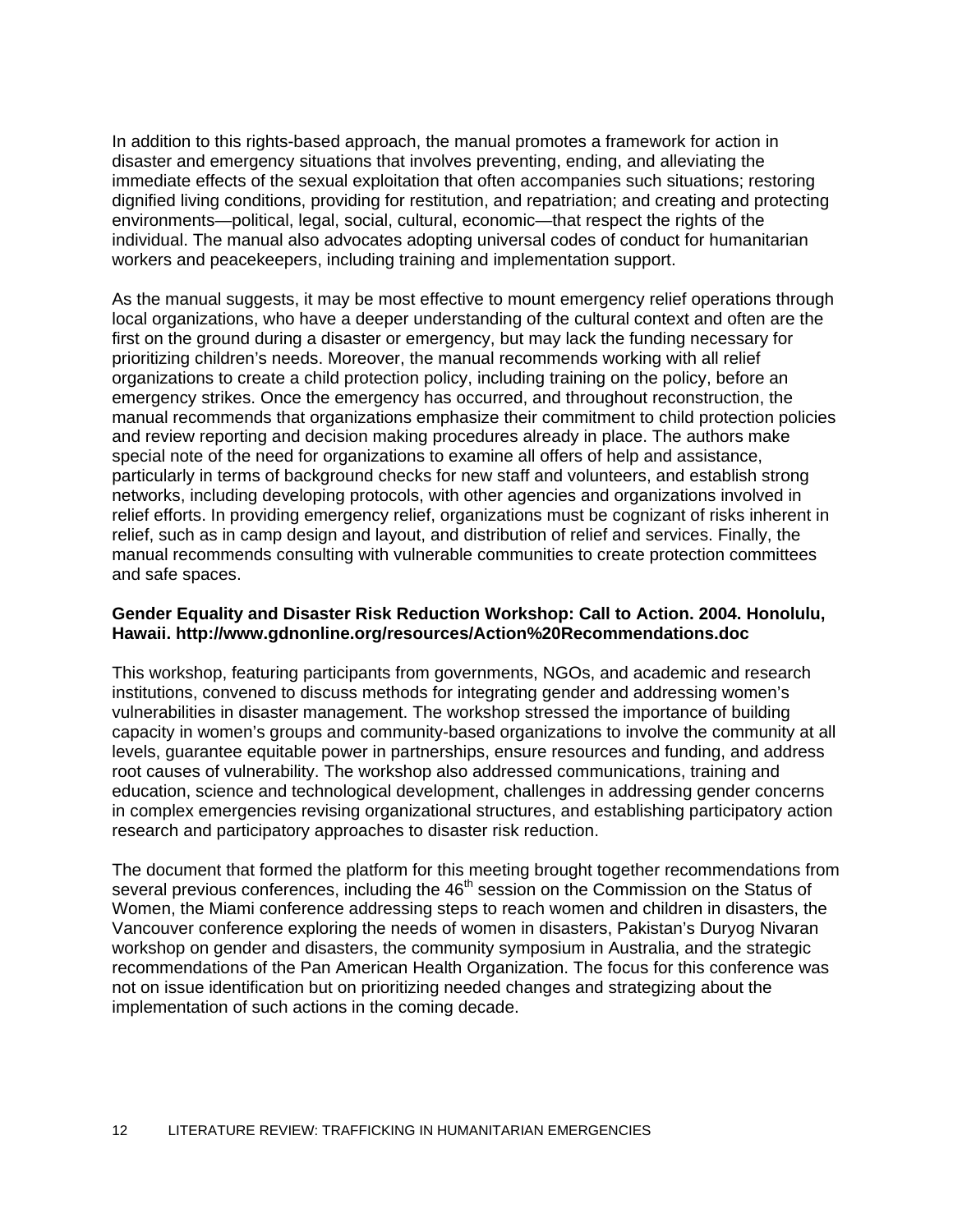In addition to this rights-based approach, the manual promotes a framework for action in disaster and emergency situations that involves preventing, ending, and alleviating the immediate effects of the sexual exploitation that often accompanies such situations; restoring dignified living conditions, providing for restitution, and repatriation; and creating and protecting environments—political, legal, social, cultural, economic—that respect the rights of the individual. The manual also advocates adopting universal codes of conduct for humanitarian workers and peacekeepers, including training and implementation support.

As the manual suggests, it may be most effective to mount emergency relief operations through local organizations, who have a deeper understanding of the cultural context and often are the first on the ground during a disaster or emergency, but may lack the funding necessary for prioritizing children's needs. Moreover, the manual recommends working with all relief organizations to create a child protection policy, including training on the policy, before an emergency strikes. Once the emergency has occurred, and throughout reconstruction, the manual recommends that organizations emphasize their commitment to child protection policies and review reporting and decision making procedures already in place. The authors make special note of the need for organizations to examine all offers of help and assistance, particularly in terms of background checks for new staff and volunteers, and establish strong networks, including developing protocols, with other agencies and organizations involved in relief efforts. In providing emergency relief, organizations must be cognizant of risks inherent in relief, such as in camp design and layout, and distribution of relief and services. Finally, the manual recommends consulting with vulnerable communities to create protection committees and safe spaces.

#### **Gender Equality and Disaster Risk Reduction Workshop: Call to Action. 2004. Honolulu, Hawaii. http://www.gdnonline.org/resources/Action%20Recommendations.doc**

This workshop, featuring participants from governments, NGOs, and academic and research institutions, convened to discuss methods for integrating gender and addressing women's vulnerabilities in disaster management. The workshop stressed the importance of building capacity in women's groups and community-based organizations to involve the community at all levels, guarantee equitable power in partnerships, ensure resources and funding, and address root causes of vulnerability. The workshop also addressed communications, training and education, science and technological development, challenges in addressing gender concerns in complex emergencies revising organizational structures, and establishing participatory action research and participatory approaches to disaster risk reduction.

The document that formed the platform for this meeting brought together recommendations from several previous conferences, including the 46<sup>th</sup> session on the Commission on the Status of Women, the Miami conference addressing steps to reach women and children in disasters, the Vancouver conference exploring the needs of women in disasters, Pakistan's Duryog Nivaran workshop on gender and disasters, the community symposium in Australia, and the strategic recommendations of the Pan American Health Organization. The focus for this conference was not on issue identification but on prioritizing needed changes and strategizing about the implementation of such actions in the coming decade.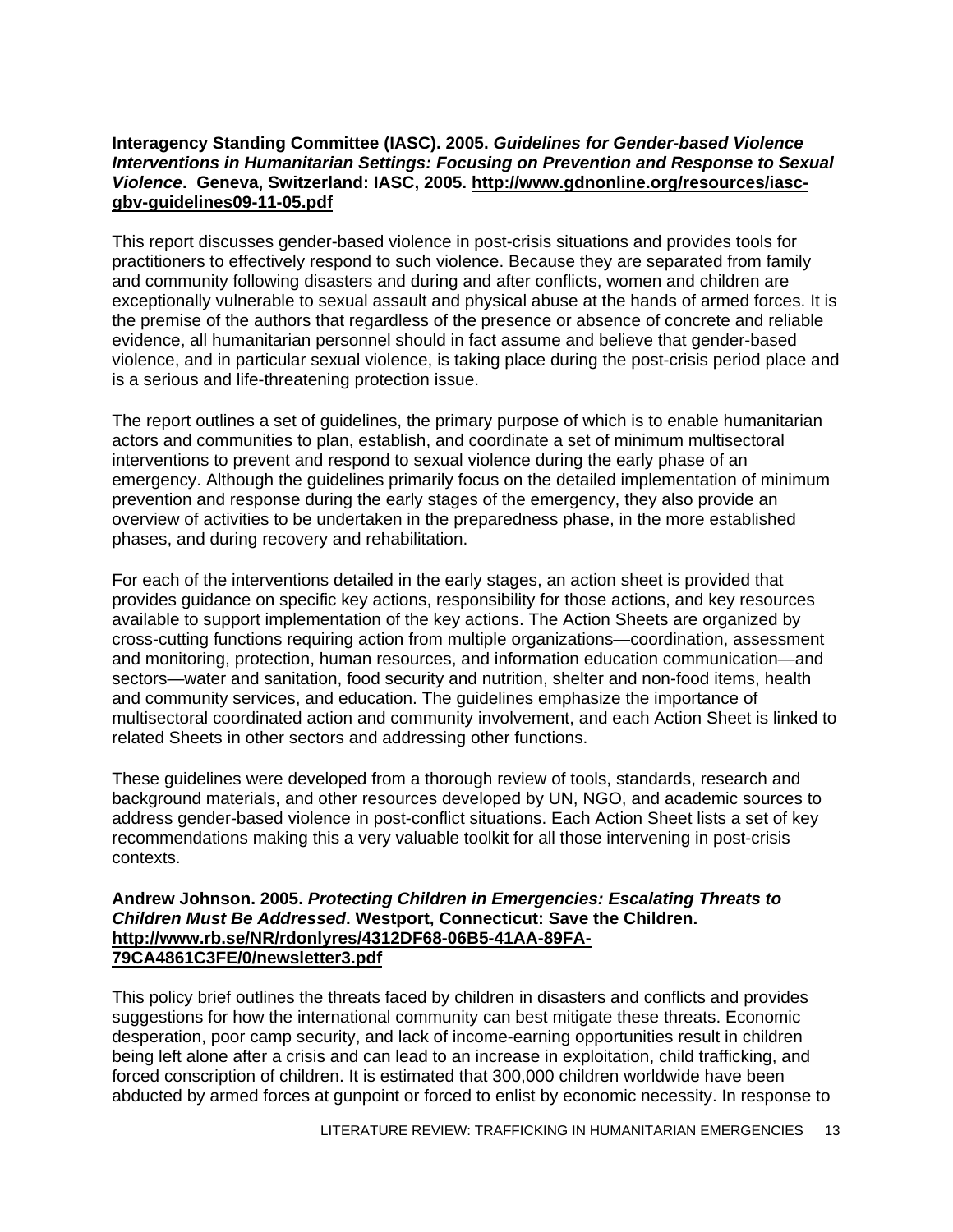#### **Interagency Standing Committee (IASC). 2005.** *Guidelines for Gender-based Violence Interventions in Humanitarian Settings: Focusing on Prevention and Response to Sexual Violence***. Geneva, Switzerland: IASC, 2005. http://www.gdnonline.org/resources/iascgbv-guidelines09-11-05.pdf**

This report discusses gender-based violence in post-crisis situations and provides tools for practitioners to effectively respond to such violence. Because they are separated from family and community following disasters and during and after conflicts, women and children are exceptionally vulnerable to sexual assault and physical abuse at the hands of armed forces. It is the premise of the authors that regardless of the presence or absence of concrete and reliable evidence, all humanitarian personnel should in fact assume and believe that gender-based violence, and in particular sexual violence, is taking place during the post-crisis period place and is a serious and life-threatening protection issue.

The report outlines a set of guidelines, the primary purpose of which is to enable humanitarian actors and communities to plan, establish, and coordinate a set of minimum multisectoral interventions to prevent and respond to sexual violence during the early phase of an emergency. Although the guidelines primarily focus on the detailed implementation of minimum prevention and response during the early stages of the emergency, they also provide an overview of activities to be undertaken in the preparedness phase, in the more established phases, and during recovery and rehabilitation.

For each of the interventions detailed in the early stages, an action sheet is provided that provides guidance on specific key actions, responsibility for those actions, and key resources available to support implementation of the key actions. The Action Sheets are organized by cross-cutting functions requiring action from multiple organizations—coordination, assessment and monitoring, protection, human resources, and information education communication—and sectors—water and sanitation, food security and nutrition, shelter and non-food items, health and community services, and education. The guidelines emphasize the importance of multisectoral coordinated action and community involvement, and each Action Sheet is linked to related Sheets in other sectors and addressing other functions.

These guidelines were developed from a thorough review of tools, standards, research and background materials, and other resources developed by UN, NGO, and academic sources to address gender-based violence in post-conflict situations. Each Action Sheet lists a set of key recommendations making this a very valuable toolkit for all those intervening in post-crisis contexts.

#### **Andrew Johnson. 2005.** *Protecting Children in Emergencies: Escalating Threats to Children Must Be Addressed***. Westport, Connecticut: Save the Children. http://www.rb.se/NR/rdonlyres/4312DF68-06B5-41AA-89FA-79CA4861C3FE/0/newsletter3.pdf**

This policy brief outlines the threats faced by children in disasters and conflicts and provides suggestions for how the international community can best mitigate these threats. Economic desperation, poor camp security, and lack of income-earning opportunities result in children being left alone after a crisis and can lead to an increase in exploitation, child trafficking, and forced conscription of children. It is estimated that 300,000 children worldwide have been abducted by armed forces at gunpoint or forced to enlist by economic necessity. In response to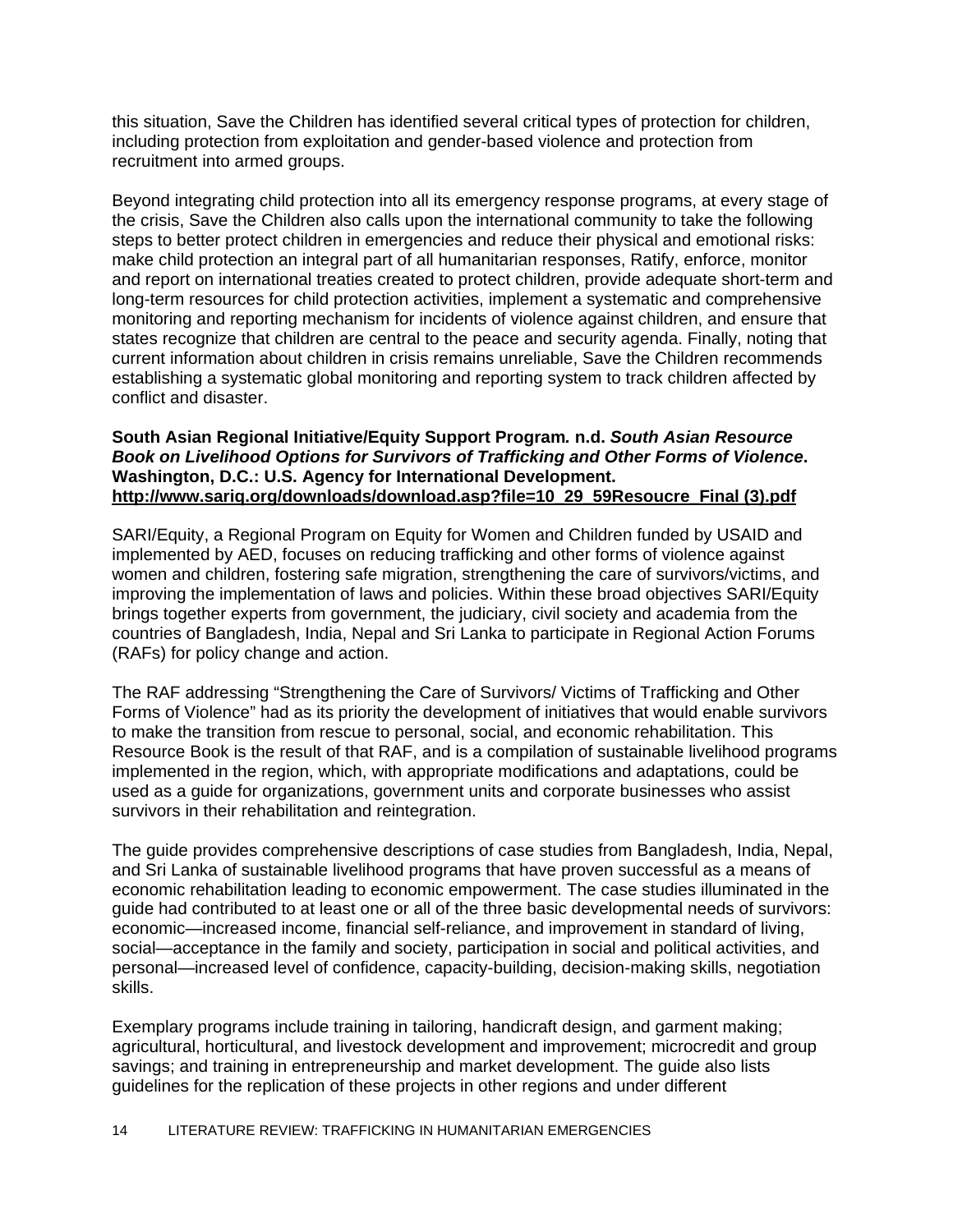this situation, Save the Children has identified several critical types of protection for children, including protection from exploitation and gender-based violence and protection from recruitment into armed groups.

Beyond integrating child protection into all its emergency response programs, at every stage of the crisis, Save the Children also calls upon the international community to take the following steps to better protect children in emergencies and reduce their physical and emotional risks: make child protection an integral part of all humanitarian responses, Ratify, enforce, monitor and report on international treaties created to protect children, provide adequate short-term and long-term resources for child protection activities, implement a systematic and comprehensive monitoring and reporting mechanism for incidents of violence against children, and ensure that states recognize that children are central to the peace and security agenda. Finally, noting that current information about children in crisis remains unreliable, Save the Children recommends establishing a systematic global monitoring and reporting system to track children affected by conflict and disaster.

#### **South Asian Regional Initiative/Equity Support Program***.* **n.d.** *South Asian Resource Book on Livelihood Options for Survivors of Trafficking and Other Forms of Violence***. Washington, D.C.: U.S. Agency for International Development. http://www.sariq.org/downloads/download.asp?file=10\_29\_59Resoucre\_Final (3).pdf**

SARI/Equity, a Regional Program on Equity for Women and Children funded by USAID and implemented by AED, focuses on reducing trafficking and other forms of violence against women and children, fostering safe migration, strengthening the care of survivors/victims, and improving the implementation of laws and policies. Within these broad objectives SARI/Equity brings together experts from government, the judiciary, civil society and academia from the countries of Bangladesh, India, Nepal and Sri Lanka to participate in Regional Action Forums (RAFs) for policy change and action.

The RAF addressing "Strengthening the Care of Survivors/ Victims of Trafficking and Other Forms of Violence" had as its priority the development of initiatives that would enable survivors to make the transition from rescue to personal, social, and economic rehabilitation. This Resource Book is the result of that RAF, and is a compilation of sustainable livelihood programs implemented in the region, which, with appropriate modifications and adaptations, could be used as a guide for organizations, government units and corporate businesses who assist survivors in their rehabilitation and reintegration.

The guide provides comprehensive descriptions of case studies from Bangladesh, India, Nepal, and Sri Lanka of sustainable livelihood programs that have proven successful as a means of economic rehabilitation leading to economic empowerment. The case studies illuminated in the guide had contributed to at least one or all of the three basic developmental needs of survivors: economic—increased income, financial self-reliance, and improvement in standard of living, social—acceptance in the family and society, participation in social and political activities, and personal—increased level of confidence, capacity-building, decision-making skills, negotiation skills.

Exemplary programs include training in tailoring, handicraft design, and garment making; agricultural, horticultural, and livestock development and improvement; microcredit and group savings; and training in entrepreneurship and market development. The guide also lists guidelines for the replication of these projects in other regions and under different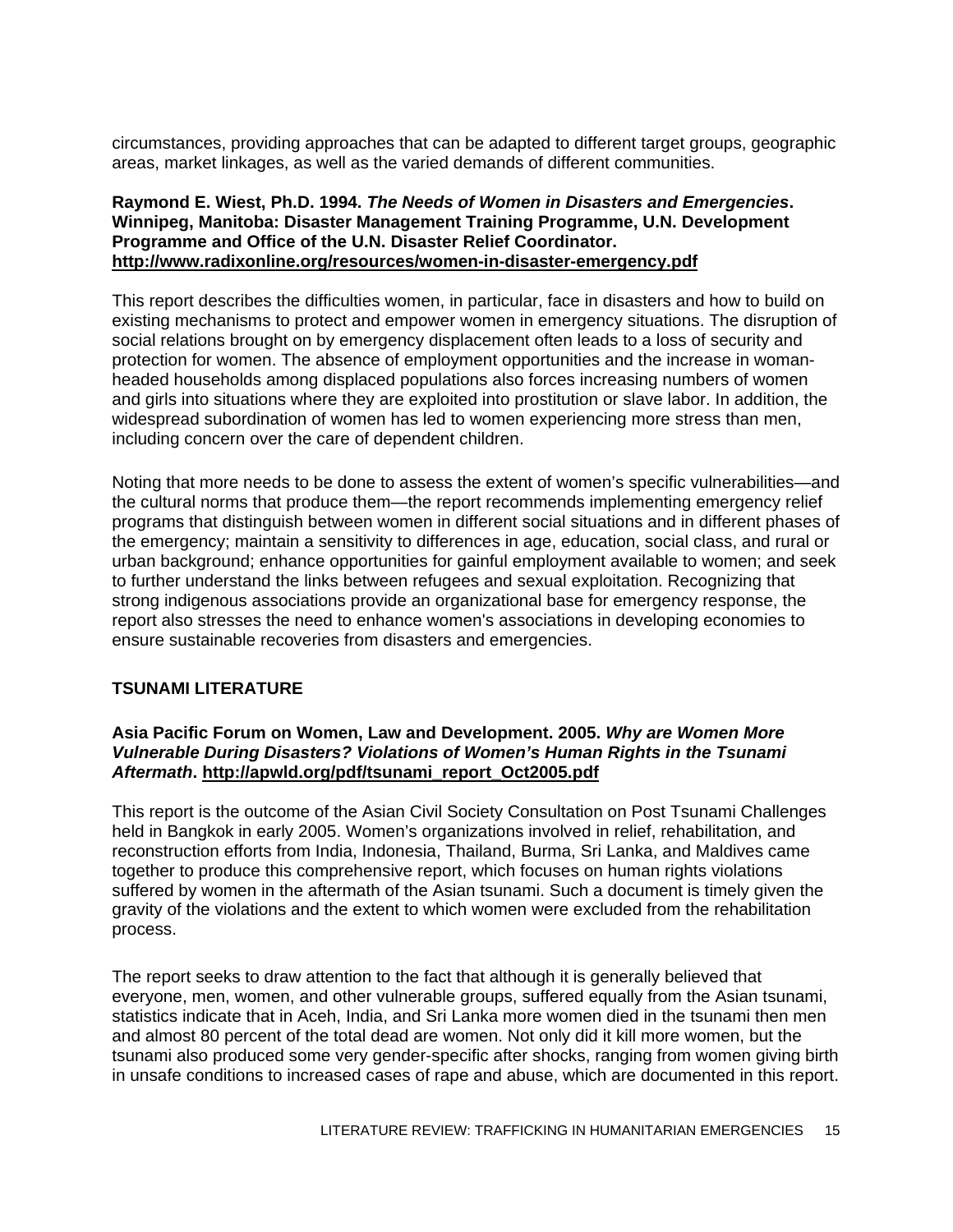circumstances, providing approaches that can be adapted to different target groups, geographic areas, market linkages, as well as the varied demands of different communities.

#### **Raymond E. Wiest, Ph.D. 1994.** *The Needs of Women in Disasters and Emergencies***. Winnipeg, Manitoba: Disaster Management Training Programme, U.N. Development Programme and Office of the U.N. Disaster Relief Coordinator. http://www.radixonline.org/resources/women-in-disaster-emergency.pdf**

This report describes the difficulties women, in particular, face in disasters and how to build on existing mechanisms to protect and empower women in emergency situations. The disruption of social relations brought on by emergency displacement often leads to a loss of security and protection for women. The absence of employment opportunities and the increase in womanheaded households among displaced populations also forces increasing numbers of women and girls into situations where they are exploited into prostitution or slave labor. In addition, the widespread subordination of women has led to women experiencing more stress than men, including concern over the care of dependent children.

Noting that more needs to be done to assess the extent of women's specific vulnerabilities—and the cultural norms that produce them—the report recommends implementing emergency relief programs that distinguish between women in different social situations and in different phases of the emergency; maintain a sensitivity to differences in age, education, social class, and rural or urban background; enhance opportunities for gainful employment available to women; and seek to further understand the links between refugees and sexual exploitation. Recognizing that strong indigenous associations provide an organizational base for emergency response, the report also stresses the need to enhance women's associations in developing economies to ensure sustainable recoveries from disasters and emergencies.

#### **TSUNAMI LITERATURE**

#### **Asia Pacific Forum on Women, Law and Development. 2005.** *Why are Women More Vulnerable During Disasters? Violations of Women's Human Rights in the Tsunami Aftermath***. http://apwld.org/pdf/tsunami\_report\_Oct2005.pdf**

This report is the outcome of the Asian Civil Society Consultation on Post Tsunami Challenges held in Bangkok in early 2005. Women's organizations involved in relief, rehabilitation, and reconstruction efforts from India, Indonesia, Thailand, Burma, Sri Lanka, and Maldives came together to produce this comprehensive report, which focuses on human rights violations suffered by women in the aftermath of the Asian tsunami. Such a document is timely given the gravity of the violations and the extent to which women were excluded from the rehabilitation process.

The report seeks to draw attention to the fact that although it is generally believed that everyone, men, women, and other vulnerable groups, suffered equally from the Asian tsunami, statistics indicate that in Aceh, India, and Sri Lanka more women died in the tsunami then men and almost 80 percent of the total dead are women. Not only did it kill more women, but the tsunami also produced some very gender-specific after shocks, ranging from women giving birth in unsafe conditions to increased cases of rape and abuse, which are documented in this report.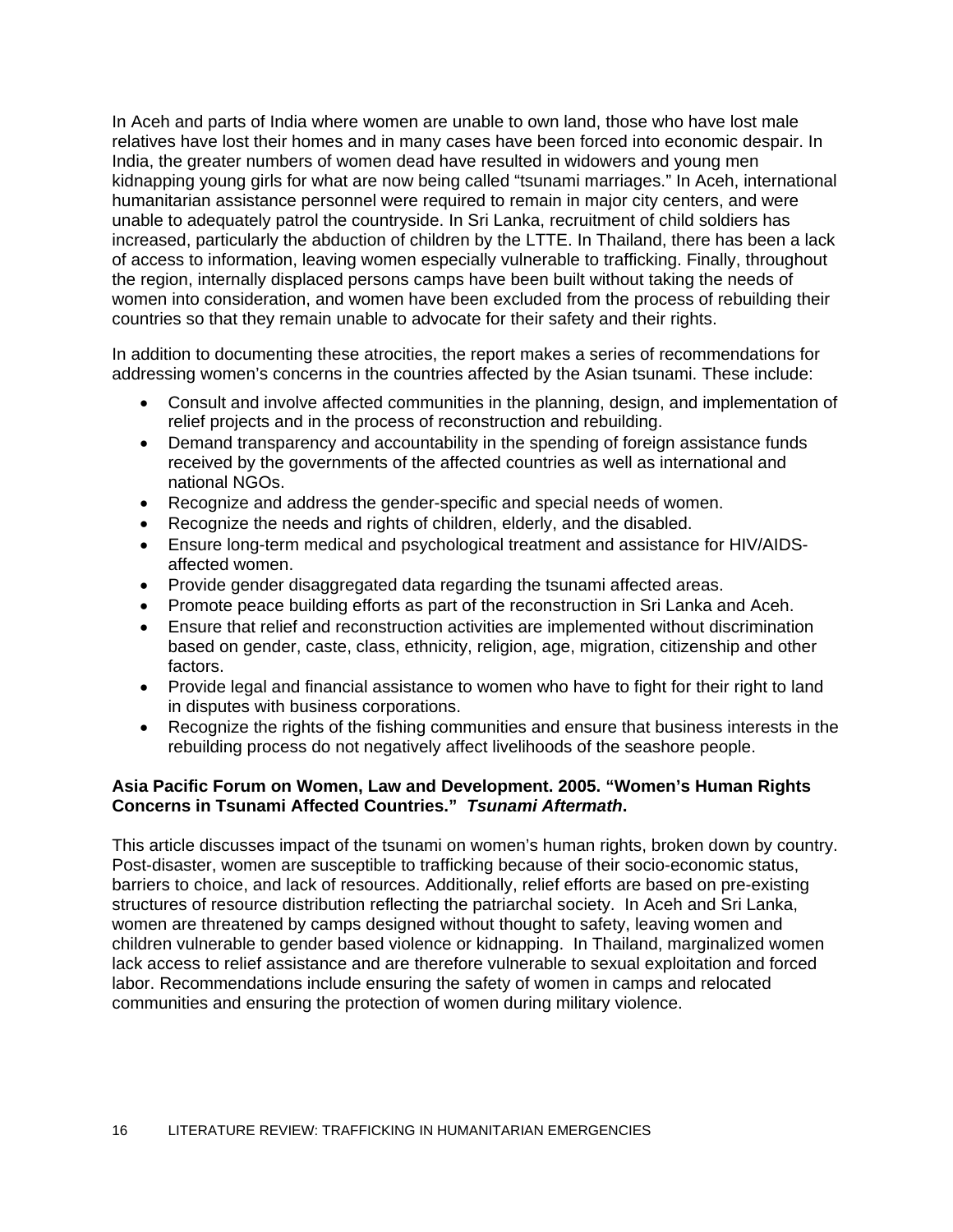In Aceh and parts of India where women are unable to own land, those who have lost male relatives have lost their homes and in many cases have been forced into economic despair. In India, the greater numbers of women dead have resulted in widowers and young men kidnapping young girls for what are now being called "tsunami marriages." In Aceh, international humanitarian assistance personnel were required to remain in major city centers, and were unable to adequately patrol the countryside. In Sri Lanka, recruitment of child soldiers has increased, particularly the abduction of children by the LTTE. In Thailand, there has been a lack of access to information, leaving women especially vulnerable to trafficking. Finally, throughout the region, internally displaced persons camps have been built without taking the needs of women into consideration, and women have been excluded from the process of rebuilding their countries so that they remain unable to advocate for their safety and their rights.

In addition to documenting these atrocities, the report makes a series of recommendations for addressing women's concerns in the countries affected by the Asian tsunami. These include:

- Consult and involve affected communities in the planning, design, and implementation of relief projects and in the process of reconstruction and rebuilding.
- Demand transparency and accountability in the spending of foreign assistance funds received by the governments of the affected countries as well as international and national NGOs.
- Recognize and address the gender-specific and special needs of women.
- Recognize the needs and rights of children, elderly, and the disabled.
- Ensure long-term medical and psychological treatment and assistance for HIV/AIDSaffected women.
- Provide gender disaggregated data regarding the tsunami affected areas.
- Promote peace building efforts as part of the reconstruction in Sri Lanka and Aceh.
- Ensure that relief and reconstruction activities are implemented without discrimination based on gender, caste, class, ethnicity, religion, age, migration, citizenship and other factors.
- Provide legal and financial assistance to women who have to fight for their right to land in disputes with business corporations.
- Recognize the rights of the fishing communities and ensure that business interests in the rebuilding process do not negatively affect livelihoods of the seashore people.

#### **Asia Pacific Forum on Women, Law and Development. 2005. "Women's Human Rights Concerns in Tsunami Affected Countries."** *Tsunami Aftermath***.**

This article discusses impact of the tsunami on women's human rights, broken down by country. Post-disaster, women are susceptible to trafficking because of their socio-economic status, barriers to choice, and lack of resources. Additionally, relief efforts are based on pre-existing structures of resource distribution reflecting the patriarchal society. In Aceh and Sri Lanka, women are threatened by camps designed without thought to safety, leaving women and children vulnerable to gender based violence or kidnapping. In Thailand, marginalized women lack access to relief assistance and are therefore vulnerable to sexual exploitation and forced labor. Recommendations include ensuring the safety of women in camps and relocated communities and ensuring the protection of women during military violence.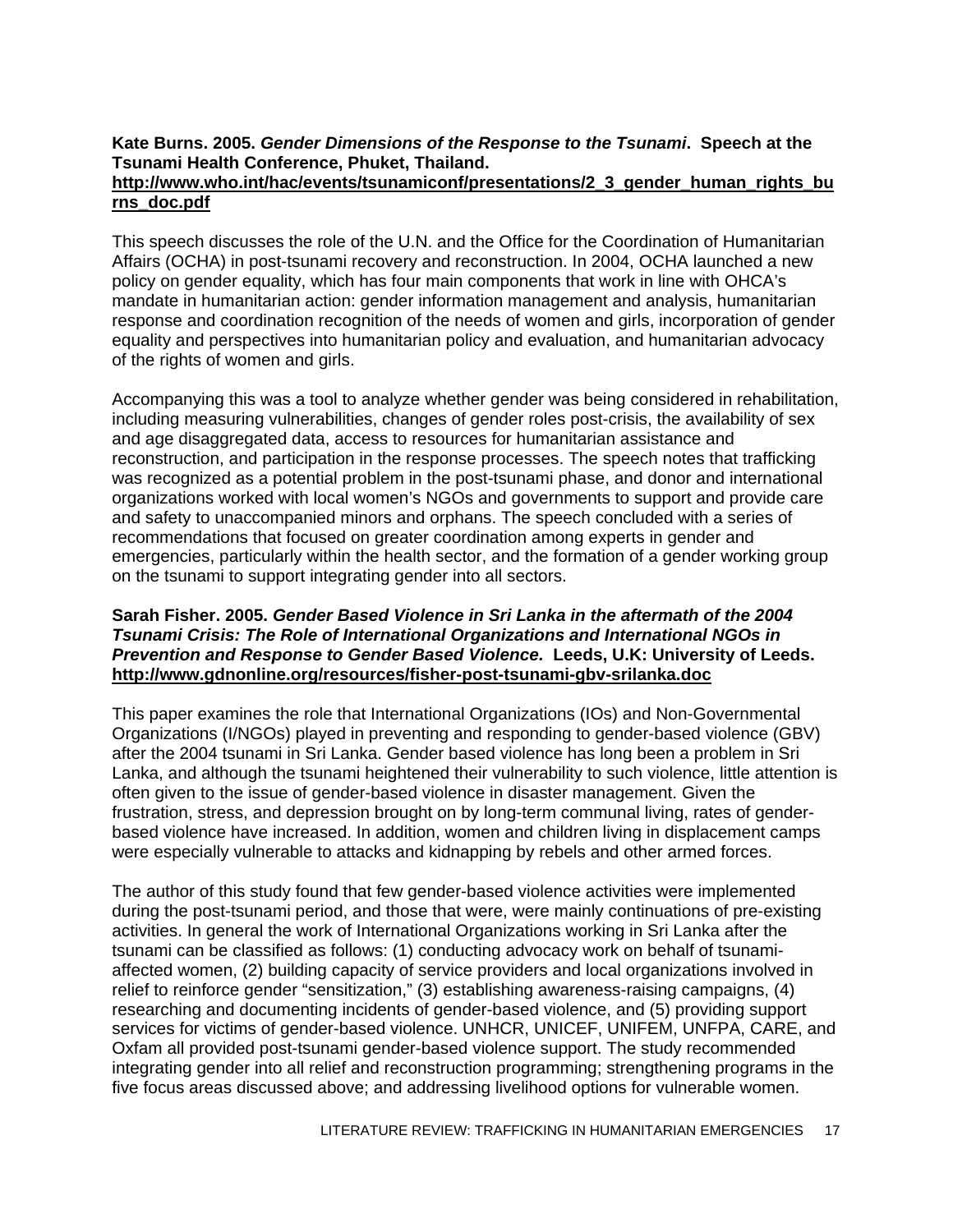#### **Kate Burns. 2005.** *Gender Dimensions of the Response to the Tsunami***. Speech at the Tsunami Health Conference, Phuket, Thailand.**

#### **http://www.who.int/hac/events/tsunamiconf/presentations/2\_3\_gender\_human\_rights\_bu rns\_doc.pdf**

This speech discusses the role of the U.N. and the Office for the Coordination of Humanitarian Affairs (OCHA) in post-tsunami recovery and reconstruction. In 2004, OCHA launched a new policy on gender equality, which has four main components that work in line with OHCA's mandate in humanitarian action: gender information management and analysis, humanitarian response and coordination recognition of the needs of women and girls, incorporation of gender equality and perspectives into humanitarian policy and evaluation, and humanitarian advocacy of the rights of women and girls.

Accompanying this was a tool to analyze whether gender was being considered in rehabilitation, including measuring vulnerabilities, changes of gender roles post-crisis, the availability of sex and age disaggregated data, access to resources for humanitarian assistance and reconstruction, and participation in the response processes. The speech notes that trafficking was recognized as a potential problem in the post-tsunami phase, and donor and international organizations worked with local women's NGOs and governments to support and provide care and safety to unaccompanied minors and orphans. The speech concluded with a series of recommendations that focused on greater coordination among experts in gender and emergencies, particularly within the health sector, and the formation of a gender working group on the tsunami to support integrating gender into all sectors.

#### **Sarah Fisher. 2005.** *Gender Based Violence in Sri Lanka in the aftermath of the 2004 Tsunami Crisis: The Role of International Organizations and International NGOs in Prevention and Response to Gender Based Violence.* **Leeds, U.K: University of Leeds. http://www.gdnonline.org/resources/fisher-post-tsunami-gbv-srilanka.doc**

This paper examines the role that International Organizations (IOs) and Non-Governmental Organizations (I/NGOs) played in preventing and responding to gender-based violence (GBV) after the 2004 tsunami in Sri Lanka. Gender based violence has long been a problem in Sri Lanka, and although the tsunami heightened their vulnerability to such violence, little attention is often given to the issue of gender-based violence in disaster management. Given the frustration, stress, and depression brought on by long-term communal living, rates of genderbased violence have increased. In addition, women and children living in displacement camps were especially vulnerable to attacks and kidnapping by rebels and other armed forces.

The author of this study found that few gender-based violence activities were implemented during the post-tsunami period, and those that were, were mainly continuations of pre-existing activities. In general the work of International Organizations working in Sri Lanka after the tsunami can be classified as follows: (1) conducting advocacy work on behalf of tsunamiaffected women, (2) building capacity of service providers and local organizations involved in relief to reinforce gender "sensitization," (3) establishing awareness-raising campaigns, (4) researching and documenting incidents of gender-based violence, and (5) providing support services for victims of gender-based violence. UNHCR, UNICEF, UNIFEM, UNFPA, CARE, and Oxfam all provided post-tsunami gender-based violence support. The study recommended integrating gender into all relief and reconstruction programming; strengthening programs in the five focus areas discussed above; and addressing livelihood options for vulnerable women.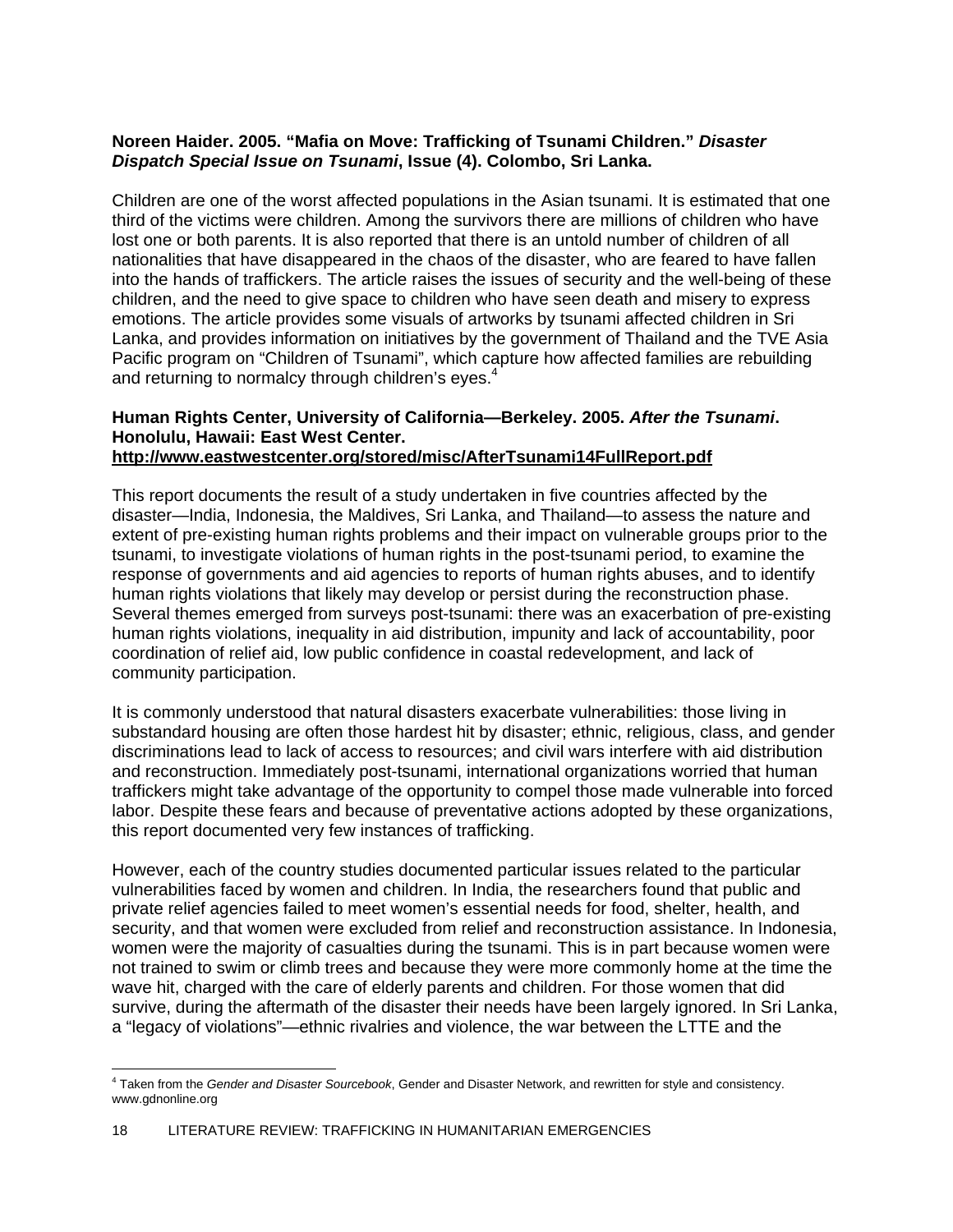#### **Noreen Haider. 2005. "Mafia on Move: Trafficking of Tsunami Children."** *Disaster Dispatch Special Issue on Tsunami***, Issue (4). Colombo, Sri Lanka.**

Children are one of the worst affected populations in the Asian tsunami. It is estimated that one third of the victims were children. Among the survivors there are millions of children who have lost one or both parents. It is also reported that there is an untold number of children of all nationalities that have disappeared in the chaos of the disaster, who are feared to have fallen into the hands of traffickers. The article raises the issues of security and the well-being of these children, and the need to give space to children who have seen death and misery to express emotions. The article provides some visuals of artworks by tsunami affected children in Sri Lanka, and provides information on initiatives by the government of Thailand and the TVE Asia Pacific program on "Children of Tsunami", which capture how affected families are rebuilding and returning to normalcy through children's eves.<sup>4</sup>

#### **Human Rights Center, University of California—Berkeley. 2005.** *After the Tsunami***. Honolulu, Hawaii: East West Center. http://www.eastwestcenter.org/stored/misc/AfterTsunami14FullReport.pdf**

This report documents the result of a study undertaken in five countries affected by the disaster—India, Indonesia, the Maldives, Sri Lanka, and Thailand—to assess the nature and extent of pre-existing human rights problems and their impact on vulnerable groups prior to the tsunami, to investigate violations of human rights in the post-tsunami period, to examine the response of governments and aid agencies to reports of human rights abuses, and to identify human rights violations that likely may develop or persist during the reconstruction phase. Several themes emerged from surveys post-tsunami: there was an exacerbation of pre-existing human rights violations, inequality in aid distribution, impunity and lack of accountability, poor coordination of relief aid, low public confidence in coastal redevelopment, and lack of community participation.

It is commonly understood that natural disasters exacerbate vulnerabilities: those living in substandard housing are often those hardest hit by disaster; ethnic, religious, class, and gender discriminations lead to lack of access to resources; and civil wars interfere with aid distribution and reconstruction. Immediately post-tsunami, international organizations worried that human traffickers might take advantage of the opportunity to compel those made vulnerable into forced labor. Despite these fears and because of preventative actions adopted by these organizations, this report documented very few instances of trafficking.

However, each of the country studies documented particular issues related to the particular vulnerabilities faced by women and children. In India, the researchers found that public and private relief agencies failed to meet women's essential needs for food, shelter, health, and security, and that women were excluded from relief and reconstruction assistance. In Indonesia, women were the majority of casualties during the tsunami. This is in part because women were not trained to swim or climb trees and because they were more commonly home at the time the wave hit, charged with the care of elderly parents and children. For those women that did survive, during the aftermath of the disaster their needs have been largely ignored. In Sri Lanka, a "legacy of violations"—ethnic rivalries and violence, the war between the LTTE and the

 4 Taken from the *Gender and Disaster Sourcebook*, Gender and Disaster Network, and rewritten for style and consistency. www.gdnonline.org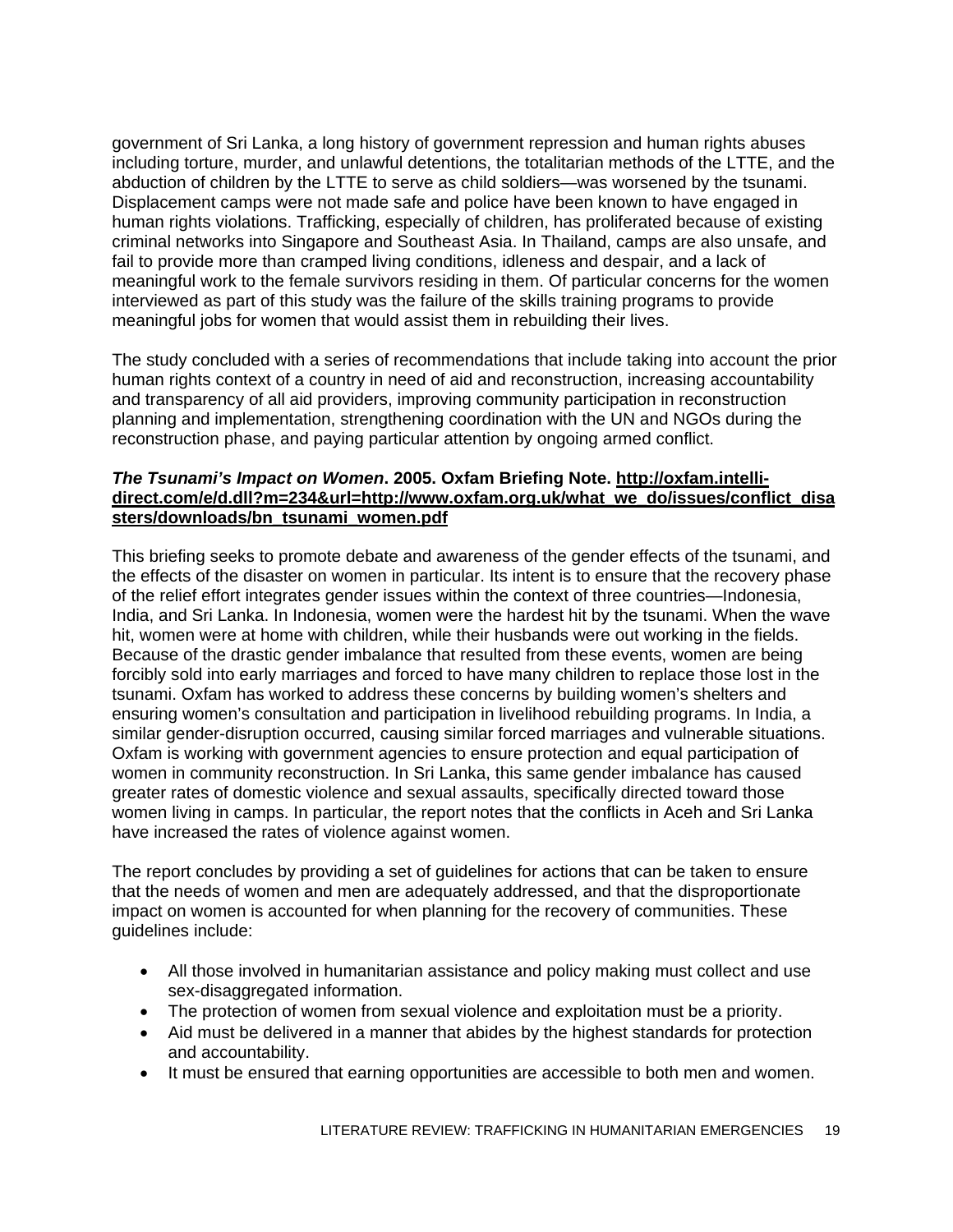government of Sri Lanka, a long history of government repression and human rights abuses including torture, murder, and unlawful detentions, the totalitarian methods of the LTTE, and the abduction of children by the LTTE to serve as child soldiers—was worsened by the tsunami. Displacement camps were not made safe and police have been known to have engaged in human rights violations. Trafficking, especially of children, has proliferated because of existing criminal networks into Singapore and Southeast Asia. In Thailand, camps are also unsafe, and fail to provide more than cramped living conditions, idleness and despair, and a lack of meaningful work to the female survivors residing in them. Of particular concerns for the women interviewed as part of this study was the failure of the skills training programs to provide meaningful jobs for women that would assist them in rebuilding their lives.

The study concluded with a series of recommendations that include taking into account the prior human rights context of a country in need of aid and reconstruction, increasing accountability and transparency of all aid providers, improving community participation in reconstruction planning and implementation, strengthening coordination with the UN and NGOs during the reconstruction phase, and paying particular attention by ongoing armed conflict.

#### *The Tsunami's Impact on Women***. 2005. Oxfam Briefing Note. http://oxfam.intellidirect.com/e/d.dll?m=234&url=http://www.oxfam.org.uk/what\_we\_do/issues/conflict\_disa sters/downloads/bn\_tsunami\_women.pdf**

This briefing seeks to promote debate and awareness of the gender effects of the tsunami, and the effects of the disaster on women in particular. Its intent is to ensure that the recovery phase of the relief effort integrates gender issues within the context of three countries—Indonesia, India, and Sri Lanka. In Indonesia, women were the hardest hit by the tsunami. When the wave hit, women were at home with children, while their husbands were out working in the fields. Because of the drastic gender imbalance that resulted from these events, women are being forcibly sold into early marriages and forced to have many children to replace those lost in the tsunami. Oxfam has worked to address these concerns by building women's shelters and ensuring women's consultation and participation in livelihood rebuilding programs. In India, a similar gender-disruption occurred, causing similar forced marriages and vulnerable situations. Oxfam is working with government agencies to ensure protection and equal participation of women in community reconstruction. In Sri Lanka, this same gender imbalance has caused greater rates of domestic violence and sexual assaults, specifically directed toward those women living in camps. In particular, the report notes that the conflicts in Aceh and Sri Lanka have increased the rates of violence against women.

The report concludes by providing a set of guidelines for actions that can be taken to ensure that the needs of women and men are adequately addressed, and that the disproportionate impact on women is accounted for when planning for the recovery of communities. These guidelines include:

- All those involved in humanitarian assistance and policy making must collect and use sex-disaggregated information.
- The protection of women from sexual violence and exploitation must be a priority.
- Aid must be delivered in a manner that abides by the highest standards for protection and accountability.
- It must be ensured that earning opportunities are accessible to both men and women.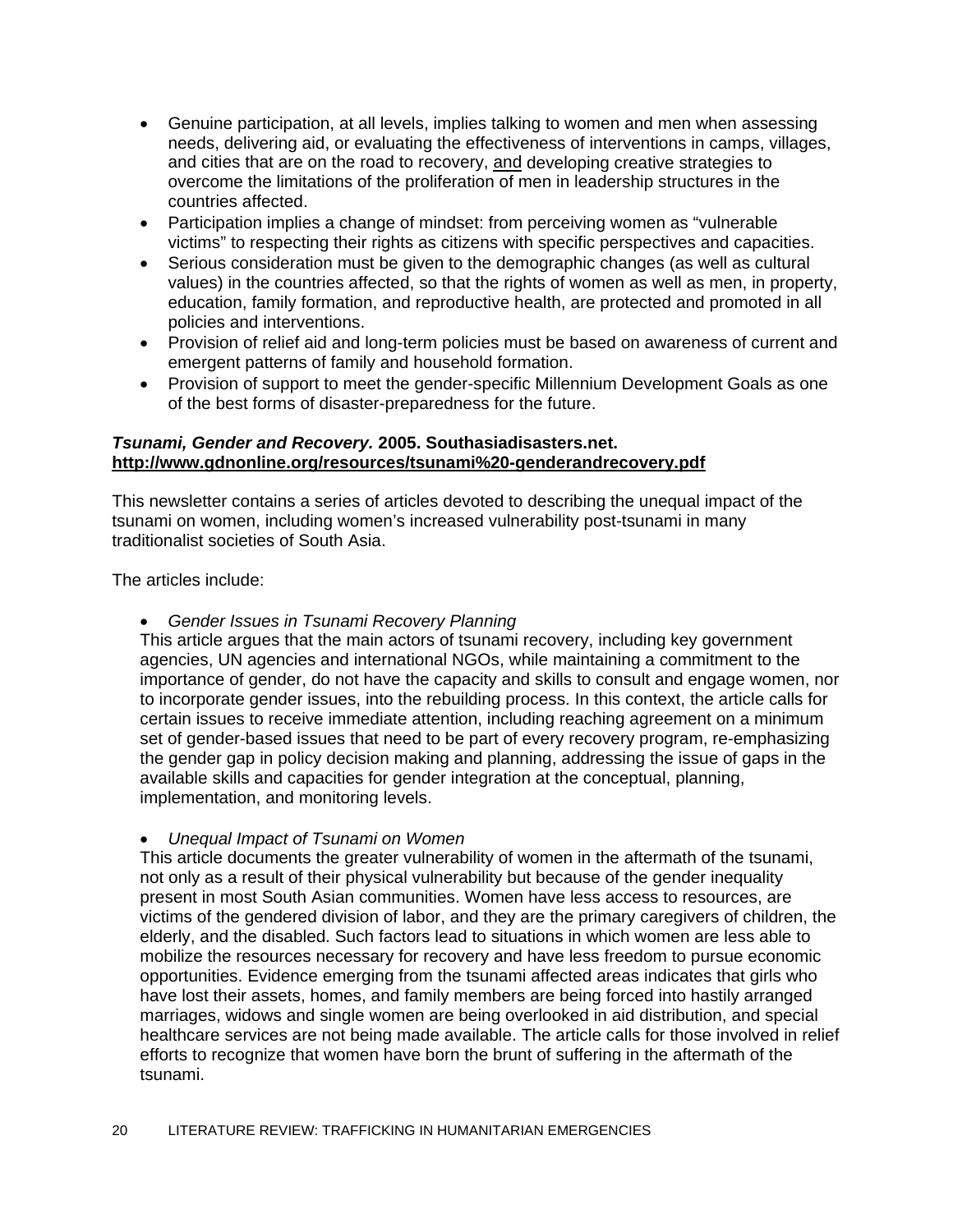- Genuine participation, at all levels, implies talking to women and men when assessing needs, delivering aid, or evaluating the effectiveness of interventions in camps, villages, and cities that are on the road to recovery, and developing creative strategies to overcome the limitations of the proliferation of men in leadership structures in the countries affected.
- Participation implies a change of mindset: from perceiving women as "vulnerable victims" to respecting their rights as citizens with specific perspectives and capacities.
- Serious consideration must be given to the demographic changes (as well as cultural values) in the countries affected, so that the rights of women as well as men, in property, education, family formation, and reproductive health, are protected and promoted in all policies and interventions.
- Provision of relief aid and long-term policies must be based on awareness of current and emergent patterns of family and household formation.
- Provision of support to meet the gender-specific Millennium Development Goals as one of the best forms of disaster-preparedness for the future.

#### *Tsunami, Gender and Recovery.* **2005. Southasiadisasters.net. http://www.gdnonline.org/resources/tsunami%20-genderandrecovery.pdf**

This newsletter contains a series of articles devoted to describing the unequal impact of the tsunami on women, including women's increased vulnerability post-tsunami in many traditionalist societies of South Asia.

The articles include:

• *Gender Issues in Tsunami Recovery Planning* 

This article argues that the main actors of tsunami recovery, including key government agencies, UN agencies and international NGOs, while maintaining a commitment to the importance of gender, do not have the capacity and skills to consult and engage women, nor to incorporate gender issues, into the rebuilding process. In this context, the article calls for certain issues to receive immediate attention, including reaching agreement on a minimum set of gender-based issues that need to be part of every recovery program, re-emphasizing the gender gap in policy decision making and planning, addressing the issue of gaps in the available skills and capacities for gender integration at the conceptual, planning, implementation, and monitoring levels.

• *Unequal Impact of Tsunami on Women* 

This article documents the greater vulnerability of women in the aftermath of the tsunami, not only as a result of their physical vulnerability but because of the gender inequality present in most South Asian communities. Women have less access to resources, are victims of the gendered division of labor, and they are the primary caregivers of children, the elderly, and the disabled. Such factors lead to situations in which women are less able to mobilize the resources necessary for recovery and have less freedom to pursue economic opportunities. Evidence emerging from the tsunami affected areas indicates that girls who have lost their assets, homes, and family members are being forced into hastily arranged marriages, widows and single women are being overlooked in aid distribution, and special healthcare services are not being made available. The article calls for those involved in relief efforts to recognize that women have born the brunt of suffering in the aftermath of the tsunami.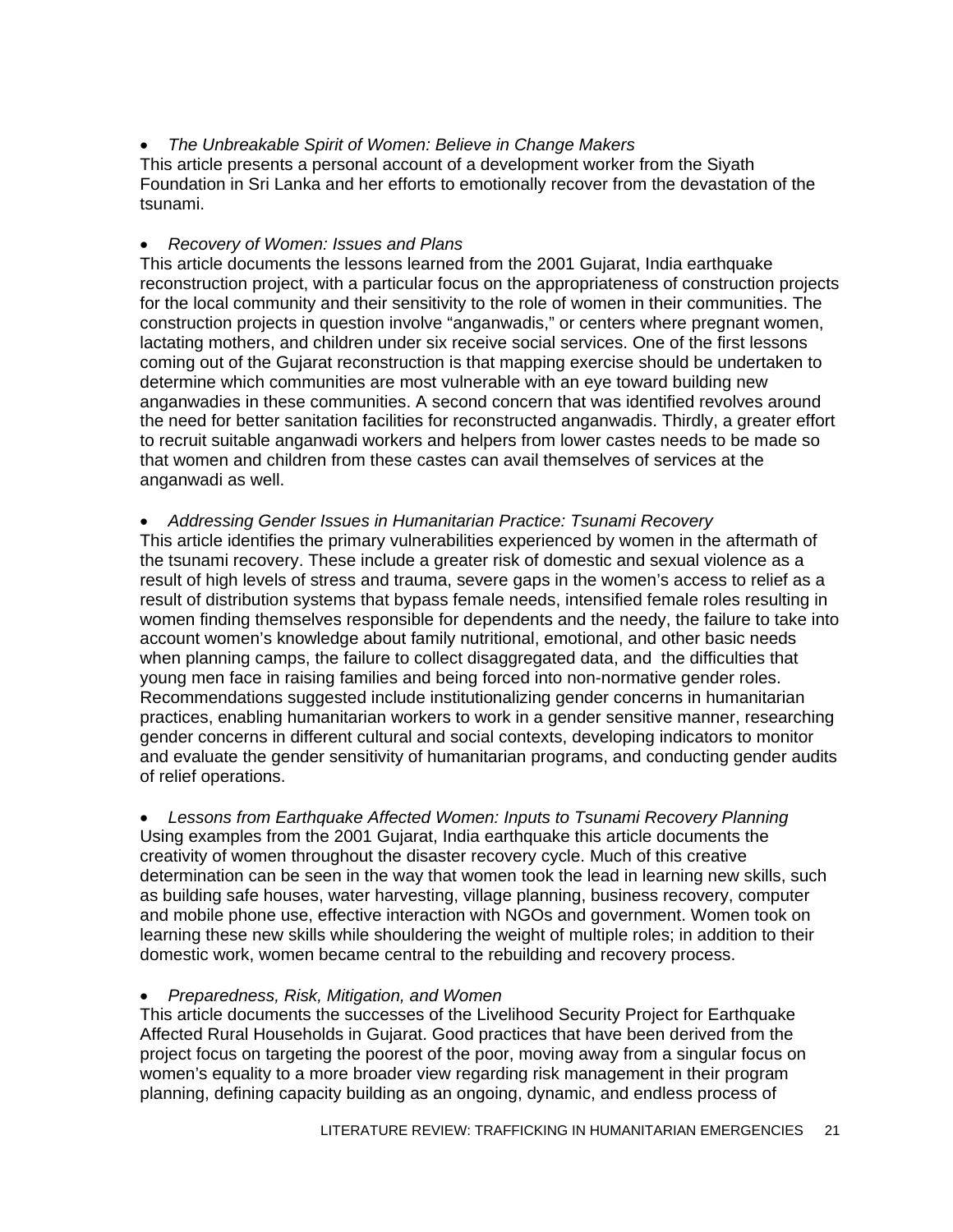#### • *The Unbreakable Spirit of Women: Believe in Change Makers*

This article presents a personal account of a development worker from the Siyath Foundation in Sri Lanka and her efforts to emotionally recover from the devastation of the tsunami.

#### • *Recovery of Women: Issues and Plans*

This article documents the lessons learned from the 2001 Gujarat, India earthquake reconstruction project, with a particular focus on the appropriateness of construction projects for the local community and their sensitivity to the role of women in their communities. The construction projects in question involve "anganwadis," or centers where pregnant women, lactating mothers, and children under six receive social services. One of the first lessons coming out of the Gujarat reconstruction is that mapping exercise should be undertaken to determine which communities are most vulnerable with an eye toward building new anganwadies in these communities. A second concern that was identified revolves around the need for better sanitation facilities for reconstructed anganwadis. Thirdly, a greater effort to recruit suitable anganwadi workers and helpers from lower castes needs to be made so that women and children from these castes can avail themselves of services at the anganwadi as well.

#### • *Addressing Gender Issues in Humanitarian Practice: Tsunami Recovery*

This article identifies the primary vulnerabilities experienced by women in the aftermath of the tsunami recovery. These include a greater risk of domestic and sexual violence as a result of high levels of stress and trauma, severe gaps in the women's access to relief as a result of distribution systems that bypass female needs, intensified female roles resulting in women finding themselves responsible for dependents and the needy, the failure to take into account women's knowledge about family nutritional, emotional, and other basic needs when planning camps, the failure to collect disaggregated data, and the difficulties that young men face in raising families and being forced into non-normative gender roles. Recommendations suggested include institutionalizing gender concerns in humanitarian practices, enabling humanitarian workers to work in a gender sensitive manner, researching gender concerns in different cultural and social contexts, developing indicators to monitor and evaluate the gender sensitivity of humanitarian programs, and conducting gender audits of relief operations.

• *Lessons from Earthquake Affected Women: Inputs to Tsunami Recovery Planning* Using examples from the 2001 Gujarat, India earthquake this article documents the creativity of women throughout the disaster recovery cycle. Much of this creative determination can be seen in the way that women took the lead in learning new skills, such as building safe houses, water harvesting, village planning, business recovery, computer and mobile phone use, effective interaction with NGOs and government. Women took on learning these new skills while shouldering the weight of multiple roles; in addition to their domestic work, women became central to the rebuilding and recovery process.

#### • *Preparedness, Risk, Mitigation, and Women*

This article documents the successes of the Livelihood Security Project for Earthquake Affected Rural Households in Gujarat. Good practices that have been derived from the project focus on targeting the poorest of the poor, moving away from a singular focus on women's equality to a more broader view regarding risk management in their program planning, defining capacity building as an ongoing, dynamic, and endless process of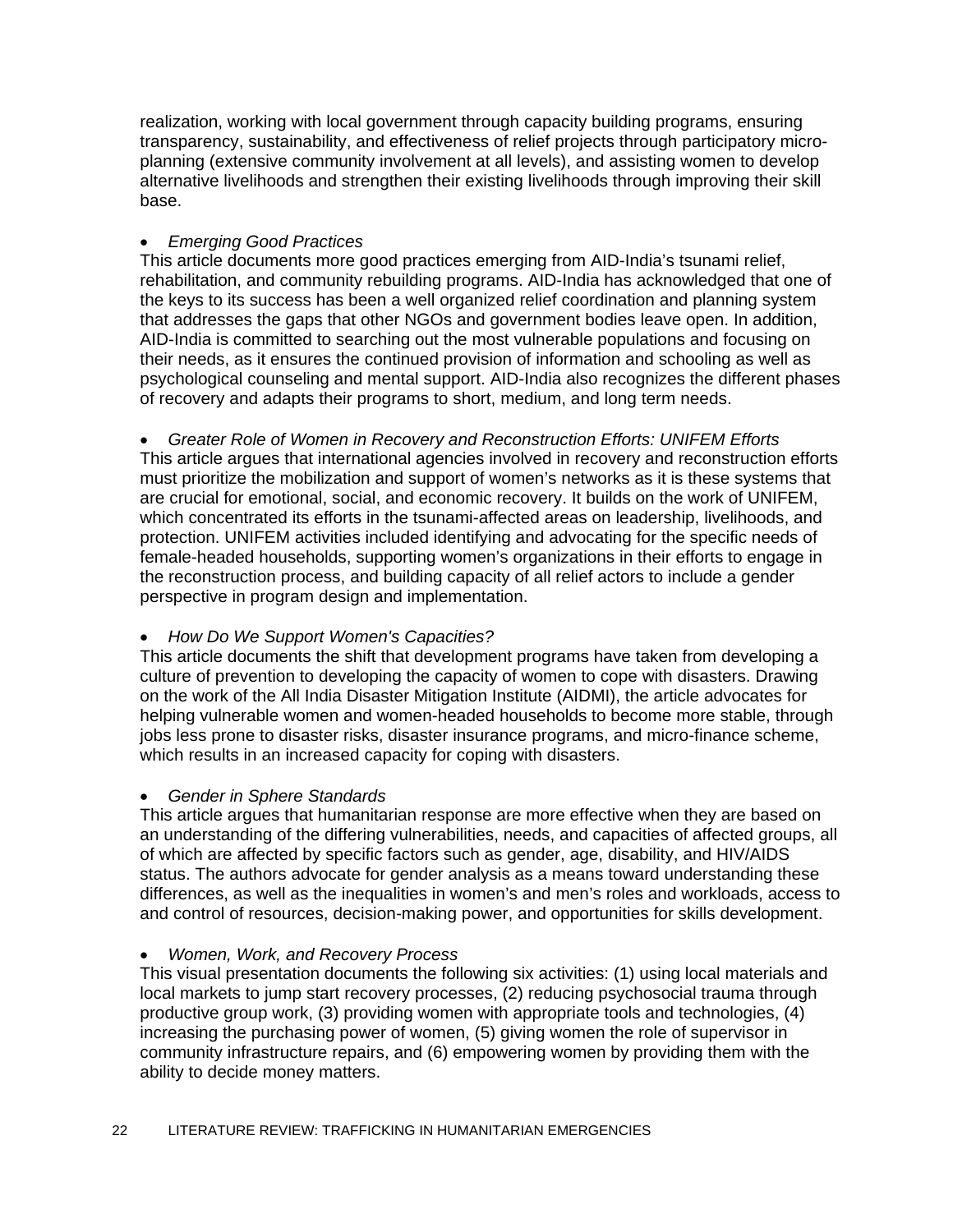realization, working with local government through capacity building programs, ensuring transparency, sustainability, and effectiveness of relief projects through participatory microplanning (extensive community involvement at all levels), and assisting women to develop alternative livelihoods and strengthen their existing livelihoods through improving their skill base.

#### • *Emerging Good Practices*

This article documents more good practices emerging from AID-India's tsunami relief, rehabilitation, and community rebuilding programs. AID-India has acknowledged that one of the keys to its success has been a well organized relief coordination and planning system that addresses the gaps that other NGOs and government bodies leave open. In addition, AID-India is committed to searching out the most vulnerable populations and focusing on their needs, as it ensures the continued provision of information and schooling as well as psychological counseling and mental support. AID-India also recognizes the different phases of recovery and adapts their programs to short, medium, and long term needs.

• *Greater Role of Women in Recovery and Reconstruction Efforts: UNIFEM Efforts* This article argues that international agencies involved in recovery and reconstruction efforts must prioritize the mobilization and support of women's networks as it is these systems that are crucial for emotional, social, and economic recovery. It builds on the work of UNIFEM, which concentrated its efforts in the tsunami-affected areas on leadership, livelihoods, and protection. UNIFEM activities included identifying and advocating for the specific needs of female-headed households, supporting women's organizations in their efforts to engage in the reconstruction process, and building capacity of all relief actors to include a gender perspective in program design and implementation.

#### • *How Do We Support Women's Capacities?*

This article documents the shift that development programs have taken from developing a culture of prevention to developing the capacity of women to cope with disasters. Drawing on the work of the All India Disaster Mitigation Institute (AIDMI), the article advocates for helping vulnerable women and women-headed households to become more stable, through jobs less prone to disaster risks, disaster insurance programs, and micro-finance scheme, which results in an increased capacity for coping with disasters.

#### • *Gender in Sphere Standards*

This article argues that humanitarian response are more effective when they are based on an understanding of the differing vulnerabilities, needs, and capacities of affected groups, all of which are affected by specific factors such as gender, age, disability, and HIV/AIDS status. The authors advocate for gender analysis as a means toward understanding these differences, as well as the inequalities in women's and men's roles and workloads, access to and control of resources, decision-making power, and opportunities for skills development.

#### • *Women, Work, and Recovery Process*

This visual presentation documents the following six activities: (1) using local materials and local markets to jump start recovery processes, (2) reducing psychosocial trauma through productive group work, (3) providing women with appropriate tools and technologies, (4) increasing the purchasing power of women, (5) giving women the role of supervisor in community infrastructure repairs, and (6) empowering women by providing them with the ability to decide money matters.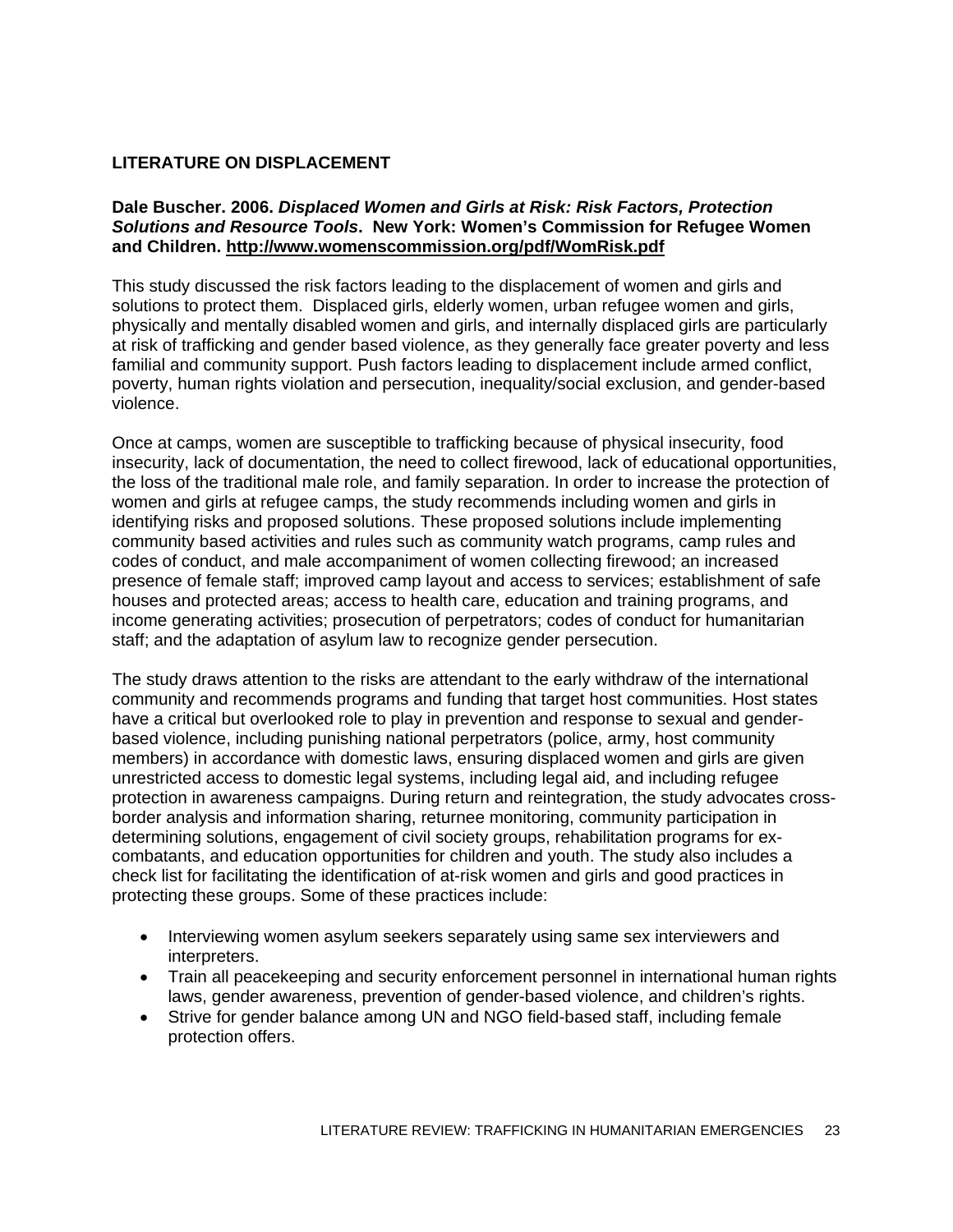#### **LITERATURE ON DISPLACEMENT**

**Dale Buscher. 2006.** *Displaced Women and Girls at Risk: Risk Factors, Protection Solutions and Resource Tools***. New York: Women's Commission for Refugee Women and Children. http://www.womenscommission.org/pdf/WomRisk.pdf** 

This study discussed the risk factors leading to the displacement of women and girls and solutions to protect them. Displaced girls, elderly women, urban refugee women and girls, physically and mentally disabled women and girls, and internally displaced girls are particularly at risk of trafficking and gender based violence, as they generally face greater poverty and less familial and community support. Push factors leading to displacement include armed conflict, poverty, human rights violation and persecution, inequality/social exclusion, and gender-based violence.

Once at camps, women are susceptible to trafficking because of physical insecurity, food insecurity, lack of documentation, the need to collect firewood, lack of educational opportunities, the loss of the traditional male role, and family separation. In order to increase the protection of women and girls at refugee camps, the study recommends including women and girls in identifying risks and proposed solutions. These proposed solutions include implementing community based activities and rules such as community watch programs, camp rules and codes of conduct, and male accompaniment of women collecting firewood; an increased presence of female staff; improved camp layout and access to services; establishment of safe houses and protected areas; access to health care, education and training programs, and income generating activities; prosecution of perpetrators; codes of conduct for humanitarian staff; and the adaptation of asylum law to recognize gender persecution.

The study draws attention to the risks are attendant to the early withdraw of the international community and recommends programs and funding that target host communities. Host states have a critical but overlooked role to play in prevention and response to sexual and genderbased violence, including punishing national perpetrators (police, army, host community members) in accordance with domestic laws, ensuring displaced women and girls are given unrestricted access to domestic legal systems, including legal aid, and including refugee protection in awareness campaigns. During return and reintegration, the study advocates crossborder analysis and information sharing, returnee monitoring, community participation in determining solutions, engagement of civil society groups, rehabilitation programs for excombatants, and education opportunities for children and youth. The study also includes a check list for facilitating the identification of at-risk women and girls and good practices in protecting these groups. Some of these practices include:

- Interviewing women asylum seekers separately using same sex interviewers and interpreters.
- Train all peacekeeping and security enforcement personnel in international human rights laws, gender awareness, prevention of gender-based violence, and children's rights.
- Strive for gender balance among UN and NGO field-based staff, including female protection offers.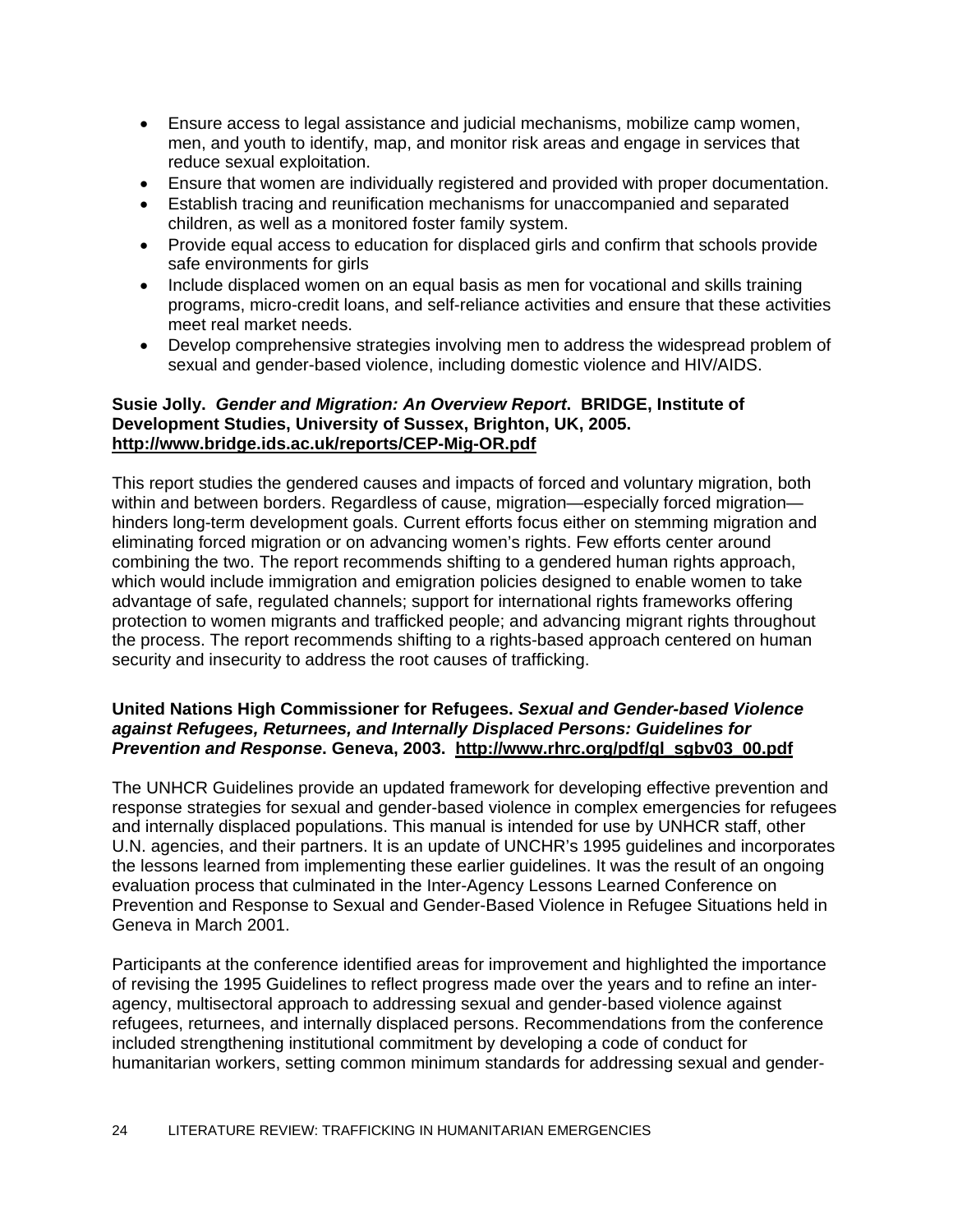- Ensure access to legal assistance and judicial mechanisms, mobilize camp women, men, and youth to identify, map, and monitor risk areas and engage in services that reduce sexual exploitation.
- Ensure that women are individually registered and provided with proper documentation.
- Establish tracing and reunification mechanisms for unaccompanied and separated children, as well as a monitored foster family system.
- Provide equal access to education for displaced girls and confirm that schools provide safe environments for girls
- Include displaced women on an equal basis as men for vocational and skills training programs, micro-credit loans, and self-reliance activities and ensure that these activities meet real market needs.
- Develop comprehensive strategies involving men to address the widespread problem of sexual and gender-based violence, including domestic violence and HIV/AIDS.

#### **Susie Jolly.** *Gender and Migration: An Overview Report***. BRIDGE, Institute of Development Studies, University of Sussex, Brighton, UK, 2005. http://www.bridge.ids.ac.uk/reports/CEP-Mig-OR.pdf**

This report studies the gendered causes and impacts of forced and voluntary migration, both within and between borders. Regardless of cause, migration—especially forced migration hinders long-term development goals. Current efforts focus either on stemming migration and eliminating forced migration or on advancing women's rights. Few efforts center around combining the two. The report recommends shifting to a gendered human rights approach, which would include immigration and emigration policies designed to enable women to take advantage of safe, regulated channels; support for international rights frameworks offering protection to women migrants and trafficked people; and advancing migrant rights throughout the process. The report recommends shifting to a rights-based approach centered on human security and insecurity to address the root causes of trafficking.

#### **United Nations High Commissioner for Refugees.** *Sexual and Gender-based Violence against Refugees, Returnees, and Internally Displaced Persons: Guidelines for Prevention and Response***. Geneva, 2003. http://www.rhrc.org/pdf/gl\_sgbv03\_00.pdf**

The UNHCR Guidelines provide an updated framework for developing effective prevention and response strategies for sexual and gender-based violence in complex emergencies for refugees and internally displaced populations. This manual is intended for use by UNHCR staff, other U.N. agencies, and their partners. It is an update of UNCHR's 1995 guidelines and incorporates the lessons learned from implementing these earlier guidelines. It was the result of an ongoing evaluation process that culminated in the Inter-Agency Lessons Learned Conference on Prevention and Response to Sexual and Gender-Based Violence in Refugee Situations held in Geneva in March 2001.

Participants at the conference identified areas for improvement and highlighted the importance of revising the 1995 Guidelines to reflect progress made over the years and to refine an interagency, multisectoral approach to addressing sexual and gender-based violence against refugees, returnees, and internally displaced persons. Recommendations from the conference included strengthening institutional commitment by developing a code of conduct for humanitarian workers, setting common minimum standards for addressing sexual and gender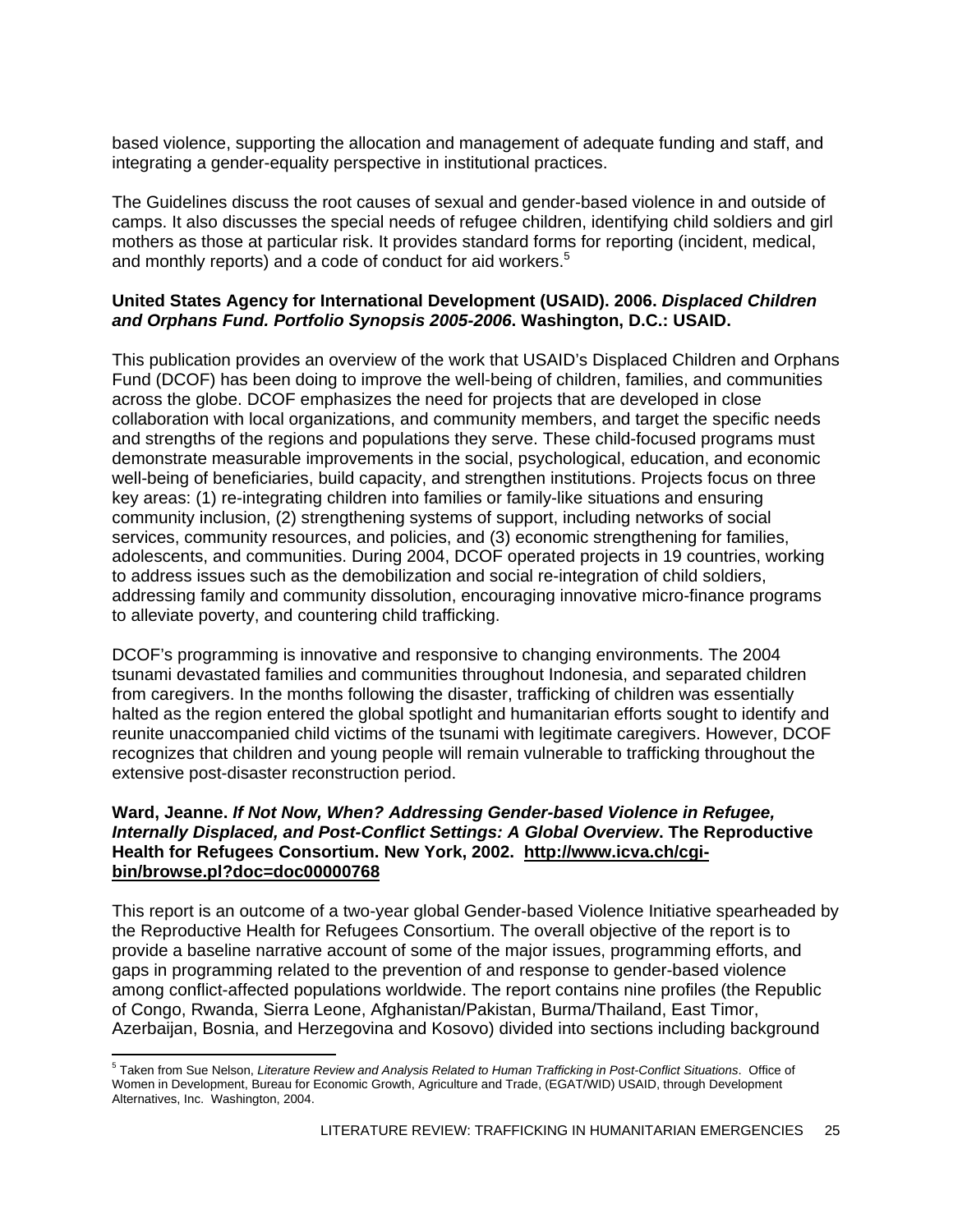based violence, supporting the allocation and management of adequate funding and staff, and integrating a gender-equality perspective in institutional practices.

The Guidelines discuss the root causes of sexual and gender-based violence in and outside of camps. It also discusses the special needs of refugee children, identifying child soldiers and girl mothers as those at particular risk. It provides standard forms for reporting (incident, medical, and monthly reports) and a code of conduct for aid workers.<sup>5</sup>

#### **United States Agency for International Development (USAID). 2006.** *Displaced Children and Orphans Fund. Portfolio Synopsis 2005-2006***. Washington, D.C.: USAID.**

This publication provides an overview of the work that USAID's Displaced Children and Orphans Fund (DCOF) has been doing to improve the well-being of children, families, and communities across the globe. DCOF emphasizes the need for projects that are developed in close collaboration with local organizations, and community members, and target the specific needs and strengths of the regions and populations they serve. These child-focused programs must demonstrate measurable improvements in the social, psychological, education, and economic well-being of beneficiaries, build capacity, and strengthen institutions. Projects focus on three key areas: (1) re-integrating children into families or family-like situations and ensuring community inclusion, (2) strengthening systems of support, including networks of social services, community resources, and policies, and (3) economic strengthening for families, adolescents, and communities. During 2004, DCOF operated projects in 19 countries, working to address issues such as the demobilization and social re-integration of child soldiers, addressing family and community dissolution, encouraging innovative micro-finance programs to alleviate poverty, and countering child trafficking.

DCOF's programming is innovative and responsive to changing environments. The 2004 tsunami devastated families and communities throughout Indonesia, and separated children from caregivers. In the months following the disaster, trafficking of children was essentially halted as the region entered the global spotlight and humanitarian efforts sought to identify and reunite unaccompanied child victims of the tsunami with legitimate caregivers. However, DCOF recognizes that children and young people will remain vulnerable to trafficking throughout the extensive post-disaster reconstruction period.

#### **Ward, Jeanne.** *If Not Now, When? Addressing Gender-based Violence in Refugee, Internally Displaced, and Post-Conflict Settings: A Global Overview***. The Reproductive Health for Refugees Consortium. New York, 2002. http://www.icva.ch/cgibin/browse.pl?doc=doc00000768**

This report is an outcome of a two-year global Gender-based Violence Initiative spearheaded by the Reproductive Health for Refugees Consortium. The overall objective of the report is to provide a baseline narrative account of some of the major issues, programming efforts, and gaps in programming related to the prevention of and response to gender-based violence among conflict-affected populations worldwide. The report contains nine profiles (the Republic of Congo, Rwanda, Sierra Leone, Afghanistan/Pakistan, Burma/Thailand, East Timor, Azerbaijan, Bosnia, and Herzegovina and Kosovo) divided into sections including background

 5 Taken from Sue Nelson, *Literature Review and Analysis Related to Human Trafficking in Post-Conflict Situations*. Office of Women in Development, Bureau for Economic Growth, Agriculture and Trade, (EGAT/WID) USAID, through Development Alternatives, Inc. Washington, 2004.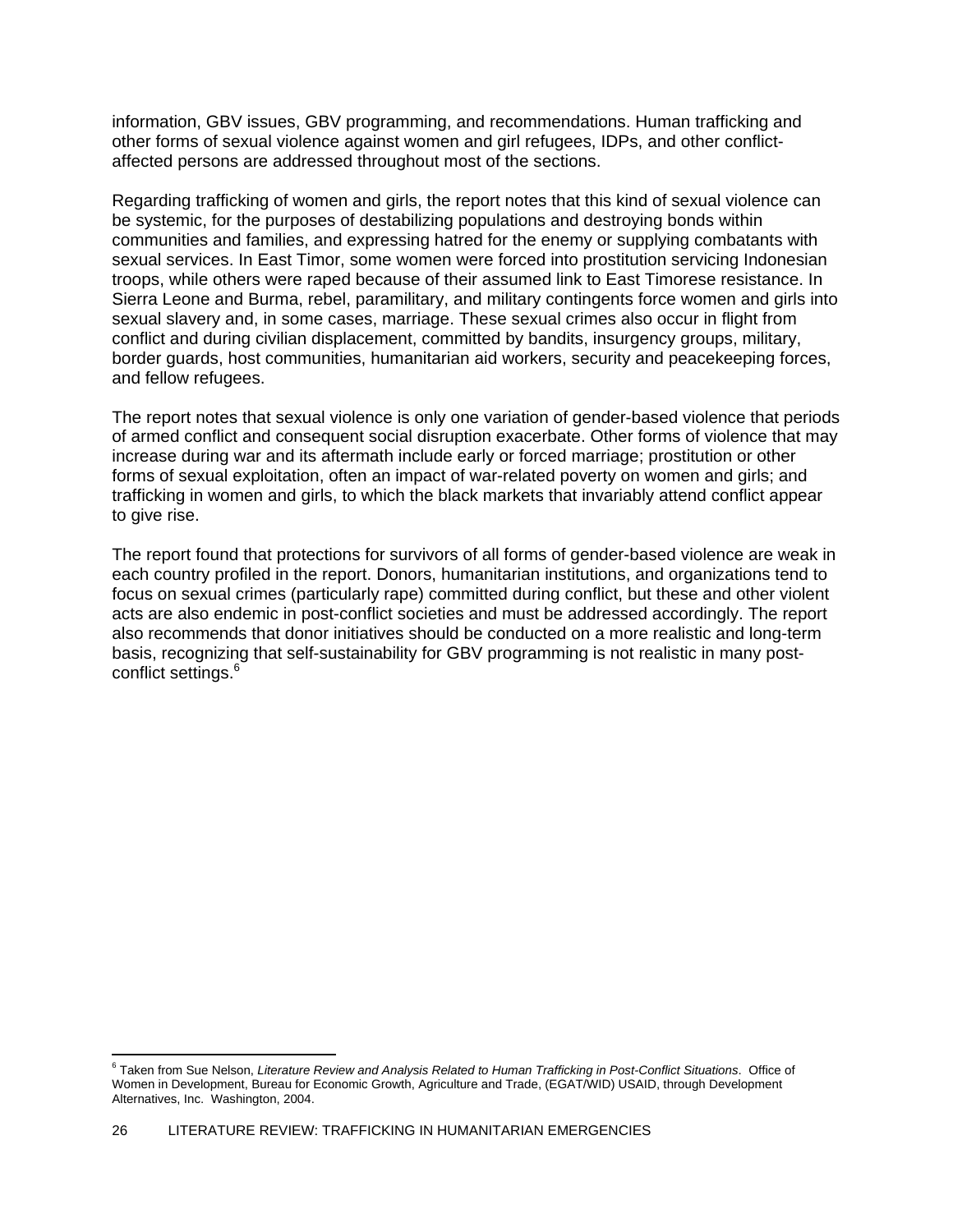information, GBV issues, GBV programming, and recommendations. Human trafficking and other forms of sexual violence against women and girl refugees, IDPs, and other conflictaffected persons are addressed throughout most of the sections.

Regarding trafficking of women and girls, the report notes that this kind of sexual violence can be systemic, for the purposes of destabilizing populations and destroying bonds within communities and families, and expressing hatred for the enemy or supplying combatants with sexual services. In East Timor, some women were forced into prostitution servicing Indonesian troops, while others were raped because of their assumed link to East Timorese resistance. In Sierra Leone and Burma, rebel, paramilitary, and military contingents force women and girls into sexual slavery and, in some cases, marriage. These sexual crimes also occur in flight from conflict and during civilian displacement, committed by bandits, insurgency groups, military, border guards, host communities, humanitarian aid workers, security and peacekeeping forces, and fellow refugees.

The report notes that sexual violence is only one variation of gender-based violence that periods of armed conflict and consequent social disruption exacerbate. Other forms of violence that may increase during war and its aftermath include early or forced marriage; prostitution or other forms of sexual exploitation, often an impact of war-related poverty on women and girls; and trafficking in women and girls, to which the black markets that invariably attend conflict appear to give rise.

The report found that protections for survivors of all forms of gender-based violence are weak in each country profiled in the report. Donors, humanitarian institutions, and organizations tend to focus on sexual crimes (particularly rape) committed during conflict, but these and other violent acts are also endemic in post-conflict societies and must be addressed accordingly. The report also recommends that donor initiatives should be conducted on a more realistic and long-term basis, recognizing that self-sustainability for GBV programming is not realistic in many postconflict settings.<sup>6</sup>

 $\overline{a}$ 

<sup>6</sup> Taken from Sue Nelson, *Literature Review and Analysis Related to Human Trafficking in Post-Conflict Situations*. Office of Women in Development, Bureau for Economic Growth, Agriculture and Trade, (EGAT/WID) USAID, through Development Alternatives, Inc. Washington, 2004.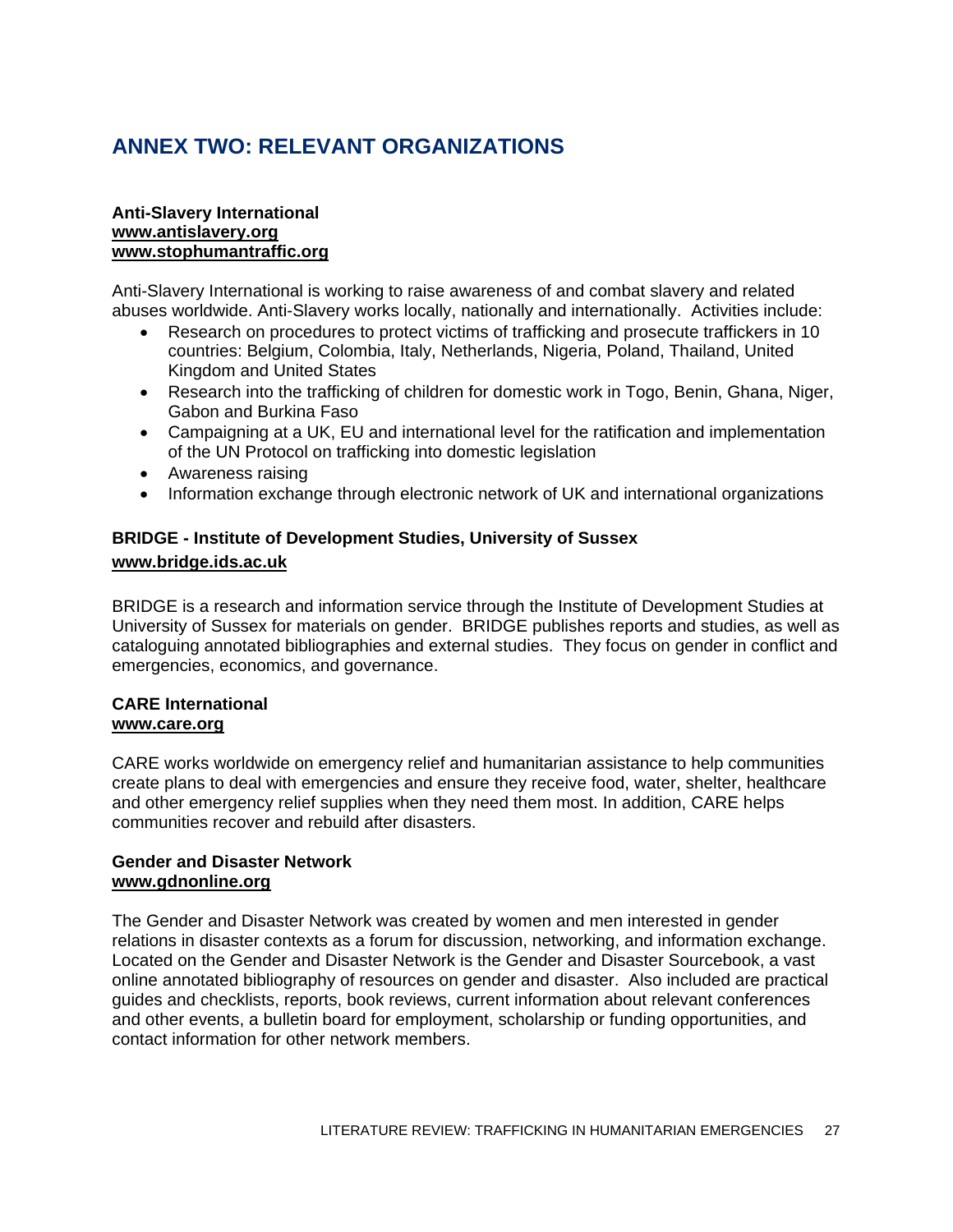## **ANNEX TWO: RELEVANT ORGANIZATIONS**

#### **Anti-Slavery International www.antislavery.org www.stophumantraffic.org**

Anti-Slavery International is working to raise awareness of and combat slavery and related abuses worldwide. Anti-Slavery works locally, nationally and internationally. Activities include:

- Research on procedures to protect victims of trafficking and prosecute traffickers in 10 countries: Belgium, Colombia, Italy, Netherlands, Nigeria, Poland, Thailand, United Kingdom and United States
- Research into the trafficking of children for domestic work in Togo, Benin, Ghana, Niger, Gabon and Burkina Faso
- Campaigning at a UK, EU and international level for the ratification and implementation of the UN Protocol on trafficking into domestic legislation
- Awareness raising
- Information exchange through electronic network of UK and international organizations

#### **BRIDGE - Institute of Development Studies, University of Sussex www.bridge.ids.ac.uk**

BRIDGE is a research and information service through the Institute of Development Studies at University of Sussex for materials on gender. BRIDGE publishes reports and studies, as well as cataloguing annotated bibliographies and external studies. They focus on gender in conflict and emergencies, economics, and governance.

#### **CARE International www.care.org**

CARE works worldwide on emergency relief and humanitarian assistance to help communities create plans to deal with emergencies and ensure they receive food, water, shelter, healthcare and other emergency relief supplies when they need them most. In addition, CARE helps communities recover and rebuild after disasters.

#### **Gender and Disaster Network www.gdnonline.org**

The Gender and Disaster Network was created by women and men interested in gender relations in disaster contexts as a forum for discussion, networking, and information exchange. Located on the Gender and Disaster Network is the Gender and Disaster Sourcebook, a vast online annotated bibliography of resources on gender and disaster. Also included are practical guides and checklists, reports, book reviews, current information about relevant conferences and other events, a bulletin board for employment, scholarship or funding opportunities, and contact information for other network members.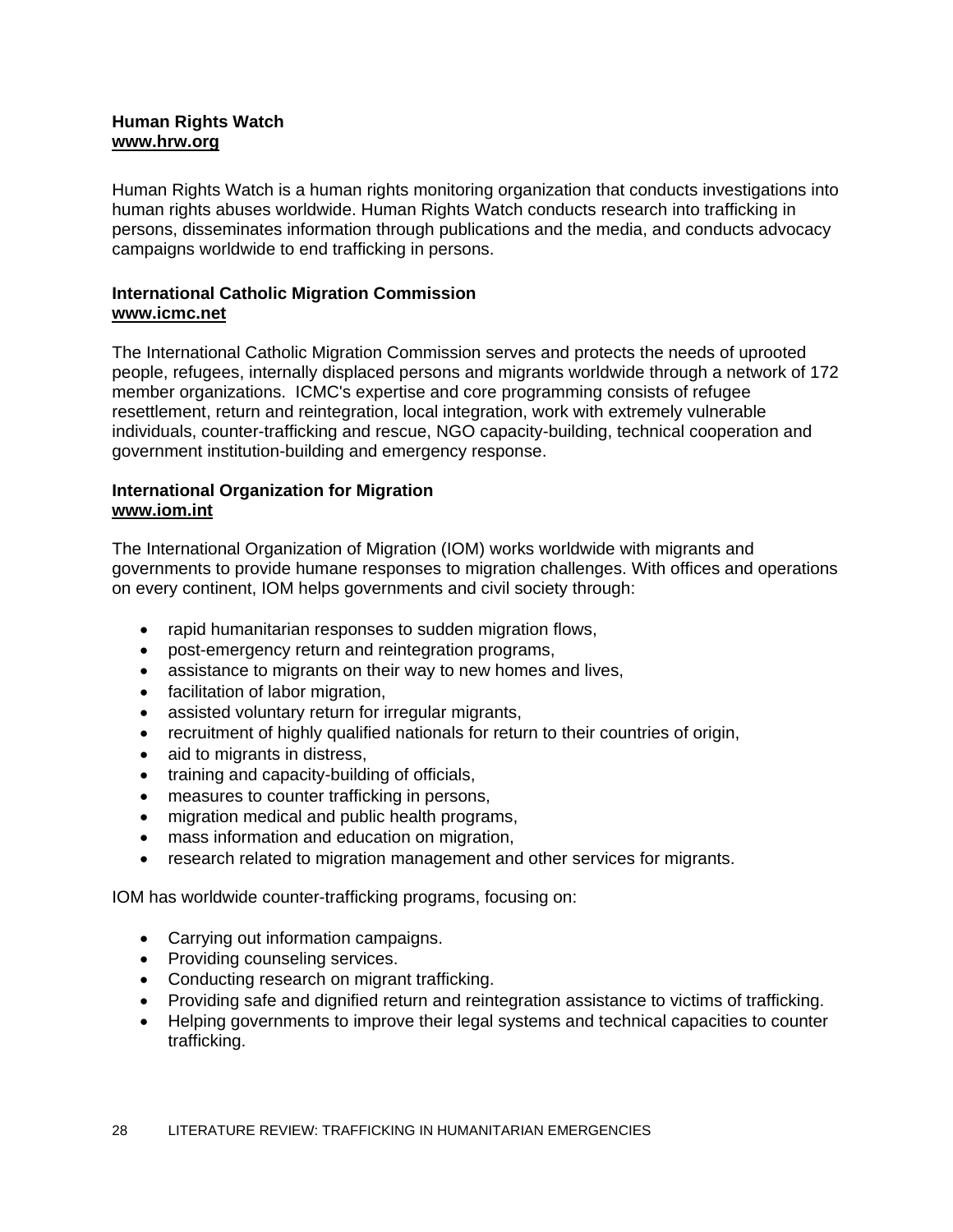#### **Human Rights Watch www.hrw.org**

Human Rights Watch is a human rights monitoring organization that conducts investigations into human rights abuses worldwide. Human Rights Watch conducts research into trafficking in persons, disseminates information through publications and the media, and conducts advocacy campaigns worldwide to end trafficking in persons.

#### **International Catholic Migration Commission www.icmc.net**

The International Catholic Migration Commission serves and protects the needs of uprooted people, refugees, internally displaced persons and migrants worldwide through a network of 172 member organizations. ICMC's expertise and core programming consists of refugee resettlement, return and reintegration, local integration, work with extremely vulnerable individuals, counter-trafficking and rescue, NGO capacity-building, technical cooperation and government institution-building and emergency response.

#### **International Organization for Migration www.iom.int**

The International Organization of Migration (IOM) works worldwide with migrants and governments to provide humane responses to migration challenges. With offices and operations on every continent, IOM helps governments and civil society through:

- rapid humanitarian responses to sudden migration flows,
- post-emergency return and reintegration programs,
- assistance to migrants on their way to new homes and lives,
- facilitation of labor migration,
- assisted voluntary return for irregular migrants,
- recruitment of highly qualified nationals for return to their countries of origin,
- aid to migrants in distress,
- training and capacity-building of officials,
- measures to counter trafficking in persons,
- migration medical and public health programs,
- mass information and education on migration,
- research related to migration management and other services for migrants.

IOM has worldwide counter-trafficking programs, focusing on:

- Carrying out information campaigns.
- Providing counseling services.
- Conducting research on migrant trafficking.
- Providing safe and dignified return and reintegration assistance to victims of trafficking.
- Helping governments to improve their legal systems and technical capacities to counter trafficking.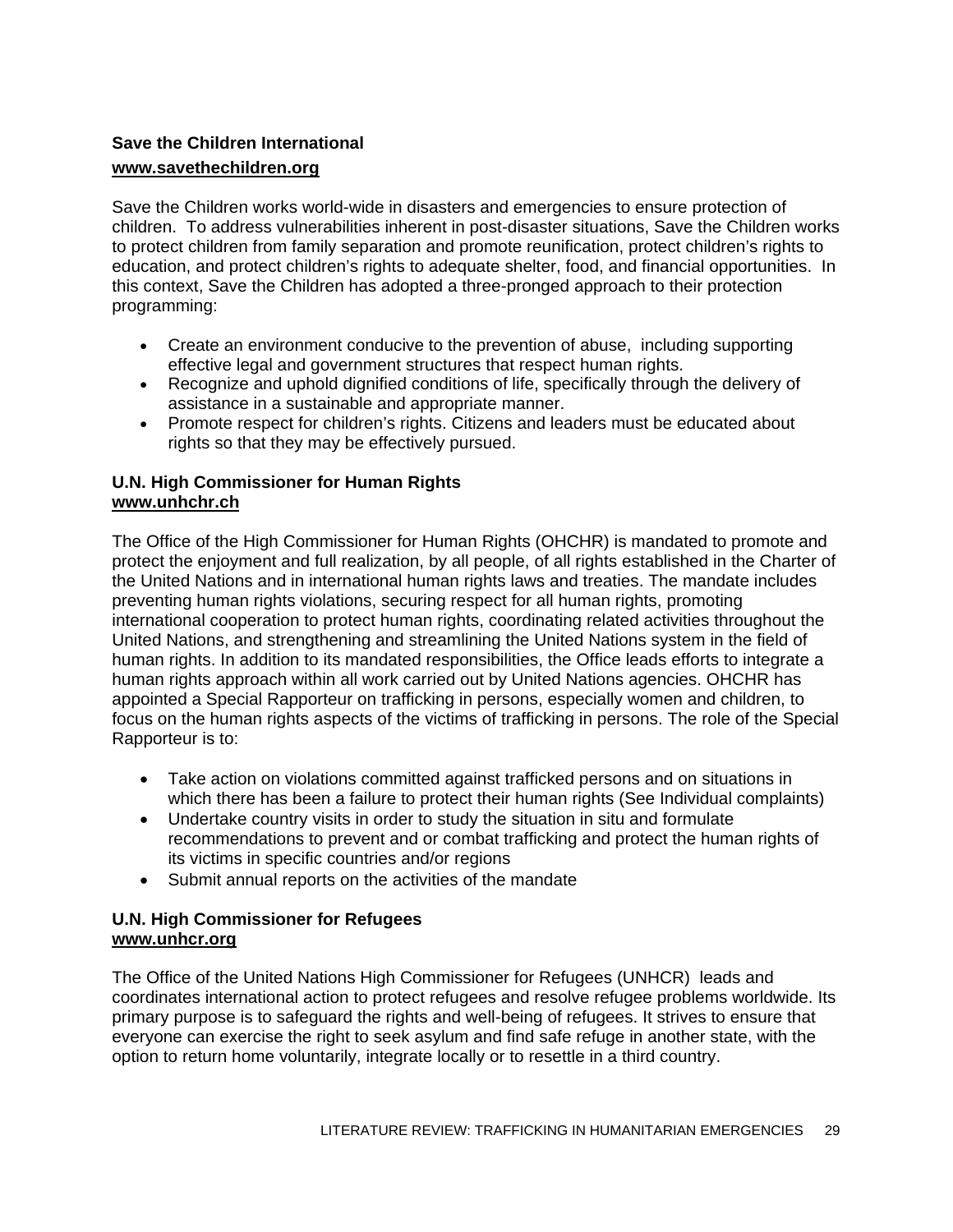#### **Save the Children International**

#### **www.savethechildren.org**

Save the Children works world-wide in disasters and emergencies to ensure protection of children. To address vulnerabilities inherent in post-disaster situations, Save the Children works to protect children from family separation and promote reunification, protect children's rights to education, and protect children's rights to adequate shelter, food, and financial opportunities. In this context, Save the Children has adopted a three-pronged approach to their protection programming:

- Create an environment conducive to the prevention of abuse, including supporting effective legal and government structures that respect human rights.
- Recognize and uphold dignified conditions of life, specifically through the delivery of assistance in a sustainable and appropriate manner.
- Promote respect for children's rights. Citizens and leaders must be educated about rights so that they may be effectively pursued.

#### **U.N. High Commissioner for Human Rights www.unhchr.ch**

The Office of the High Commissioner for Human Rights (OHCHR) is mandated to promote and protect the enjoyment and full realization, by all people, of all rights established in the Charter of the United Nations and in international human rights laws and treaties. The mandate includes preventing human rights violations, securing respect for all human rights, promoting international cooperation to protect human rights, coordinating related activities throughout the United Nations, and strengthening and streamlining the United Nations system in the field of human rights. In addition to its mandated responsibilities, the Office leads efforts to integrate a human rights approach within all work carried out by United Nations agencies. OHCHR has appointed a Special Rapporteur on trafficking in persons, especially women and children, to focus on the human rights aspects of the victims of trafficking in persons. The role of the Special Rapporteur is to:

- Take action on violations committed against trafficked persons and on situations in which there has been a failure to protect their human rights (See Individual complaints)
- Undertake country visits in order to study the situation in situ and formulate recommendations to prevent and or combat trafficking and protect the human rights of its victims in specific countries and/or regions
- Submit annual reports on the activities of the mandate

#### **U.N. High Commissioner for Refugees www.unhcr.org**

The Office of the United Nations High Commissioner for Refugees (UNHCR) leads and coordinates international action to protect refugees and resolve refugee problems worldwide. Its primary purpose is to safeguard the rights and well-being of refugees. It strives to ensure that everyone can exercise the right to seek asylum and find safe refuge in another state, with the option to return home voluntarily, integrate locally or to resettle in a third country.